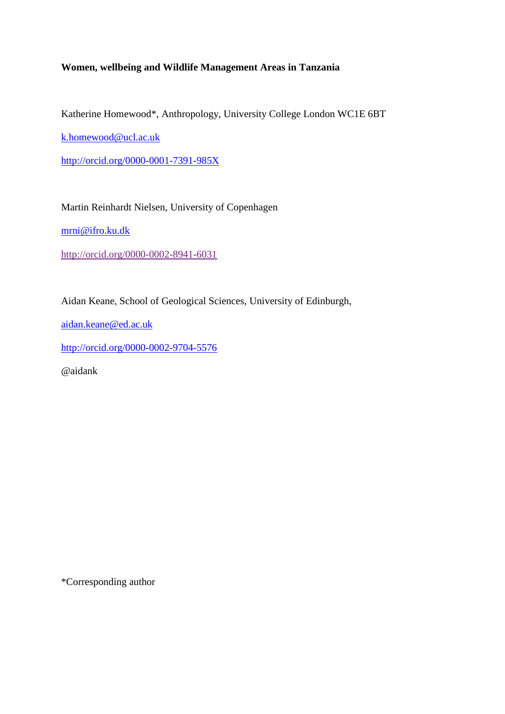## **Women, wellbeing and Wildlife Management Areas in Tanzania**

Katherine Homewood\*, Anthropology, University College London WC1E 6BT

[k.homewood@ucl.ac.uk](mailto:k.homewood@ucl.ac.uk)

<http://orcid.org/0000-0001-7391-985X>

Martin Reinhardt Nielsen, University of Copenhagen

[mrni@ifro.ku.dk](mailto:mrni@ifro.ku.dk)

<http://orcid.org/0000-0002-8941-6031>

Aidan Keane, School of Geological Sciences, University of Edinburgh,

[aidan.keane@ed.ac.uk](mailto:aidan.keane@ed.ac.uk)

<http://orcid.org/0000-0002-9704-5576>

@aidank

\*Corresponding author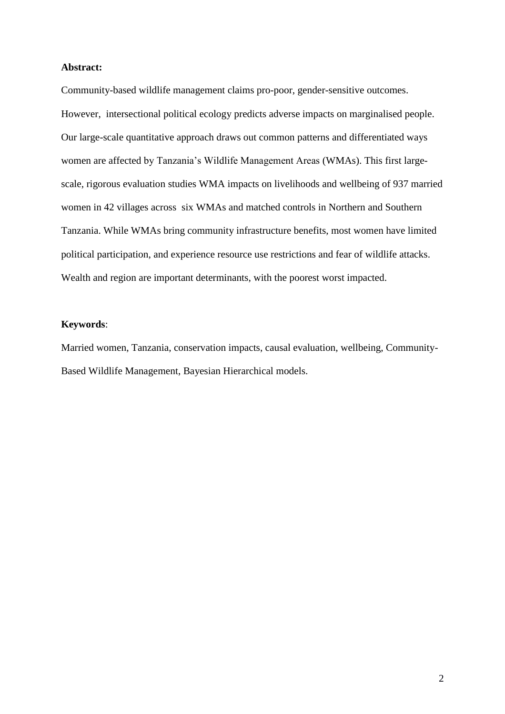#### **Abstract:**

Community-based wildlife management claims pro-poor, gender-sensitive outcomes. However, intersectional political ecology predicts adverse impacts on marginalised people. Our large-scale quantitative approach draws out common patterns and differentiated ways women are affected by Tanzania's Wildlife Management Areas (WMAs). This first largescale, rigorous evaluation studies WMA impacts on livelihoods and wellbeing of 937 married women in 42 villages across six WMAs and matched controls in Northern and Southern Tanzania. While WMAs bring community infrastructure benefits, most women have limited political participation, and experience resource use restrictions and fear of wildlife attacks. Wealth and region are important determinants, with the poorest worst impacted.

## **Keywords**:

Married women, Tanzania, conservation impacts, causal evaluation, wellbeing, Community-Based Wildlife Management, Bayesian Hierarchical models.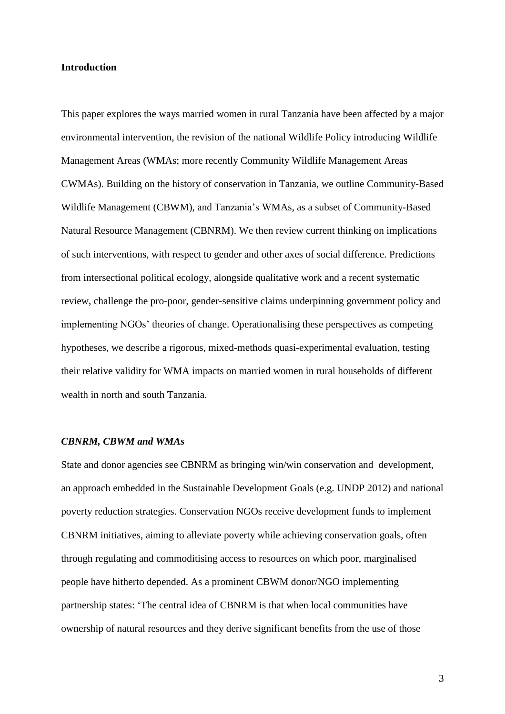#### **Introduction**

This paper explores the ways married women in rural Tanzania have been affected by a major environmental intervention, the revision of the national Wildlife Policy introducing Wildlife Management Areas (WMAs; more recently Community Wildlife Management Areas CWMAs). Building on the history of conservation in Tanzania, we outline Community-Based Wildlife Management (CBWM), and Tanzania's WMAs, as a subset of Community-Based Natural Resource Management (CBNRM). We then review current thinking on implications of such interventions, with respect to gender and other axes of social difference. Predictions from intersectional political ecology, alongside qualitative work and a recent systematic review, challenge the pro-poor, gender-sensitive claims underpinning government policy and implementing NGOs' theories of change. Operationalising these perspectives as competing hypotheses, we describe a rigorous, mixed-methods quasi-experimental evaluation, testing their relative validity for WMA impacts on married women in rural households of different wealth in north and south Tanzania.

#### *CBNRM, CBWM and WMAs*

State and donor agencies see CBNRM as bringing win/win conservation and development, an approach embedded in the Sustainable Development Goals (e.g. UNDP 2012) and national poverty reduction strategies. Conservation NGOs receive development funds to implement CBNRM initiatives, aiming to alleviate poverty while achieving conservation goals, often through regulating and commoditising access to resources on which poor, marginalised people have hitherto depended. As a prominent CBWM donor/NGO implementing partnership states: 'The central idea of CBNRM is that when local communities have ownership of natural resources and they derive significant benefits from the use of those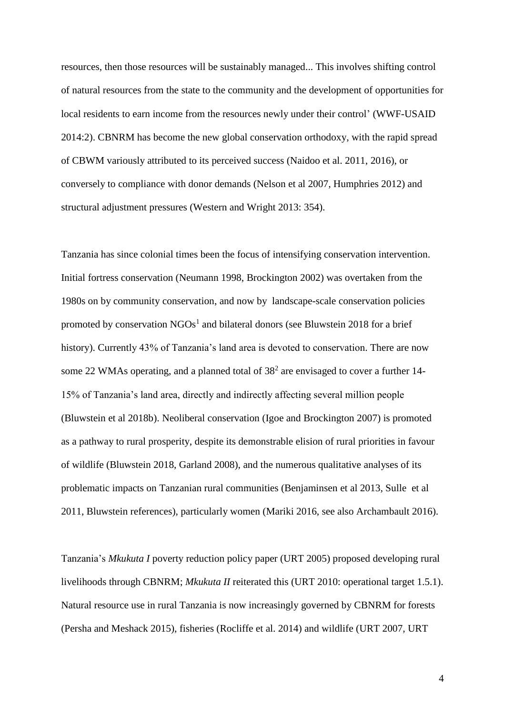resources, then those resources will be sustainably managed... This involves shifting control of natural resources from the state to the community and the development of opportunities for local residents to earn income from the resources newly under their control' (WWF-USAID 2014:2). CBNRM has become the new global conservation orthodoxy, with the rapid spread of CBWM variously attributed to its perceived success (Naidoo et al. 2011, 2016), or conversely to compliance with donor demands (Nelson et al 2007, Humphries 2012) and structural adjustment pressures (Western and Wright 2013: 354).

<span id="page-3-0"></span>Tanzania has since colonial times been the focus of intensifying conservation intervention. Initial fortress conservation (Neumann 1998, Brockington 2002) was overtaken from the 1980s on by community conservation, and now by landscape-scale conservation policies promoted by conservation  $NGOs<sup>1</sup>$  and bilateral donors (see Bluwstein 2018 for a brief history). Currently 43% of Tanzania's land area is devoted to conservation. There are now some 22 WMAs operating, and a planned total of  $38<sup>2</sup>$  are envisaged to cover a further 14-15% of Tanzania's land area, directly and indirectly affecting several million people (Bluwstein et al 2018b). Neoliberal conservation (Igoe and Brockington 2007) is promoted as a pathway to rural prosperity, despite its demonstrable elision of rural priorities in favour of wildlife (Bluwstein 2018, Garland 2008), and the numerous qualitative analyses of its problematic impacts on Tanzanian rural communities (Benjaminsen et al 2013, Sulle et al 2011, Bluwstein references), particularly women (Mariki 2016, see also Archambault 2016).

Tanzania's *Mkukuta I* poverty reduction policy paper (URT 2005) proposed developing rural livelihoods through CBNRM; *Mkukuta II* reiterated this (URT 2010: operational target 1.5.1). Natural resource use in rural Tanzania is now increasingly governed by CBNRM for forests (Persha and Meshack 2015), fisheries (Rocliffe et al. 2014) and wildlife (URT 2007, URT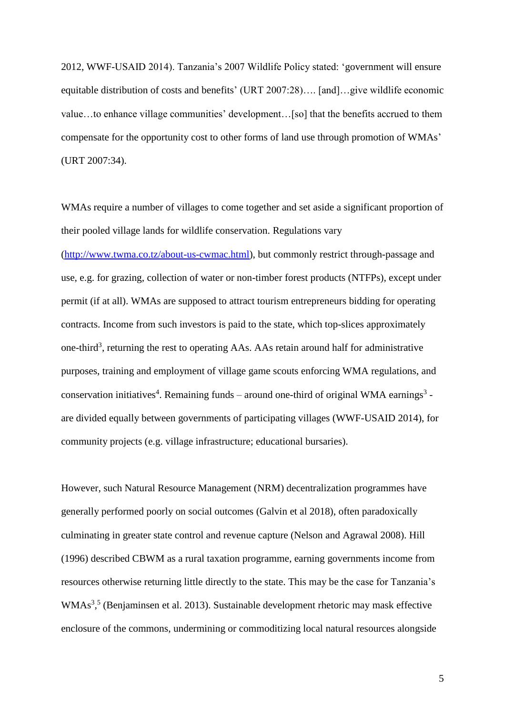2012, WWF-USAID 2014). Tanzania's 2007 Wildlife Policy stated: 'government will ensure equitable distribution of costs and benefits' (URT 2007:28)…. [and]…give wildlife economic value…to enhance village communities' development…[so] that the benefits accrued to them compensate for the opportunity cost to other forms of land use through promotion of WMAs' (URT 2007:34).

<span id="page-4-0"></span>WMAs require a number of villages to come together and set aside a significant proportion of their pooled village lands for wildlife conservation. Regulations vary [\(http://www.twma.co.tz/about-us-cwmac.html\)](http://www.twma.co.tz/about-us-cwmac.html), but commonly restrict through-passage and use, e.g. for grazing, collection of water or non-timber forest products (NTFPs), except under permit (if at all). WMAs are supposed to attract tourism entrepreneurs bidding for operating contracts. Income from such investors is paid to the state, which top-slices approximately one-third<sup>3</sup>, returning the rest to operating AAs. AAs retain around half for administrative purposes, training and employment of village game scouts enforcing WMA regulations, and conservation initiatives<sup>4</sup>. Remaining funds – around one-third of original WMA earnings<sup>[3](#page-4-0)</sup> are divided equally between governments of participating villages (WWF-USAID 2014), for community projects (e.g. village infrastructure; educational bursaries).

However, such Natural Resource Management (NRM) decentralization programmes have generally performed poorly on social outcomes (Galvin et al 2018), often paradoxically culminating in greater state control and revenue capture (Nelson and Agrawal 2008). Hill (1996) described CBWM as a rural taxation programme, earning governments income from resources otherwise returning little directly to the state. This may be the case for Tanzania's WMAs<sup>[3](#page-4-0),5</sup> (Benjaminsen et al. 2013). Sustainable development rhetoric may mask effective enclosure of the commons, undermining or commoditizing local natural resources alongside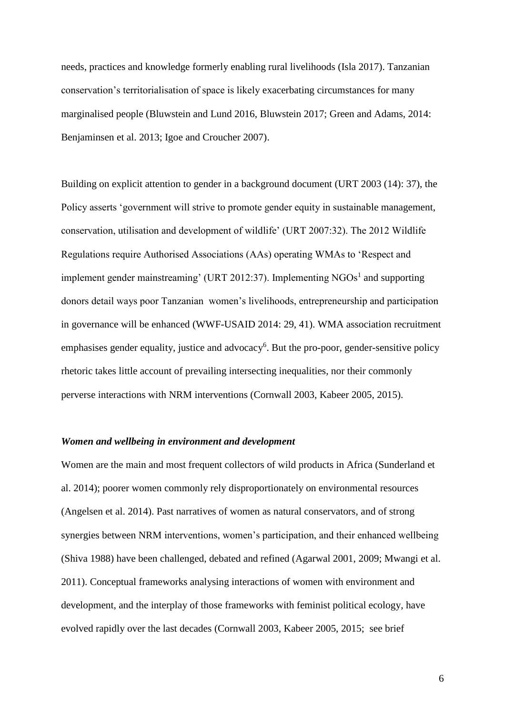needs, practices and knowledge formerly enabling rural livelihoods (Isla 2017). Tanzanian conservation's territorialisation of space is likely exacerbating circumstances for many marginalised people (Bluwstein and Lund 2016, Bluwstein 2017; Green and Adams, 2014: Benjaminsen et al. 2013; Igoe and Croucher 2007).

Building on explicit attention to gender in a background document (URT 2003 (14): 37), the Policy asserts 'government will strive to promote gender equity in sustainable management, conservation, utilisation and development of wildlife' (URT 2007:32). The 2012 Wildlife Regulations require Authorised Associations (AAs) operating WMAs to 'Respect and implement gender mainstreaming' (URT 20[1](#page-3-0)2:37). Implementing  $NGOs<sup>1</sup>$  and supporting donors detail ways poor Tanzanian women's livelihoods, entrepreneurship and participation in governance will be enhanced (WWF-USAID 2014: 29, 41). WMA association recruitment emphasises gender equality, justice and advocacy<sup>6</sup>. But the pro-poor, gender-sensitive policy rhetoric takes little account of prevailing intersecting inequalities, nor their commonly perverse interactions with NRM interventions (Cornwall 2003, Kabeer 2005, 2015).

## <span id="page-5-0"></span>*Women and wellbeing in environment and development*

Women are the main and most frequent collectors of wild products in Africa (Sunderland et al. 2014); poorer women commonly rely disproportionately on environmental resources (Angelsen et al. 2014). Past narratives of women as natural conservators, and of strong synergies between NRM interventions, women's participation, and their enhanced wellbeing (Shiva 1988) have been challenged, debated and refined (Agarwal 2001, 2009; Mwangi et al. 2011). Conceptual frameworks analysing interactions of women with environment and development, and the interplay of those frameworks with feminist political ecology, have evolved rapidly over the last decades (Cornwall 2003, Kabeer 2005, 2015; see brief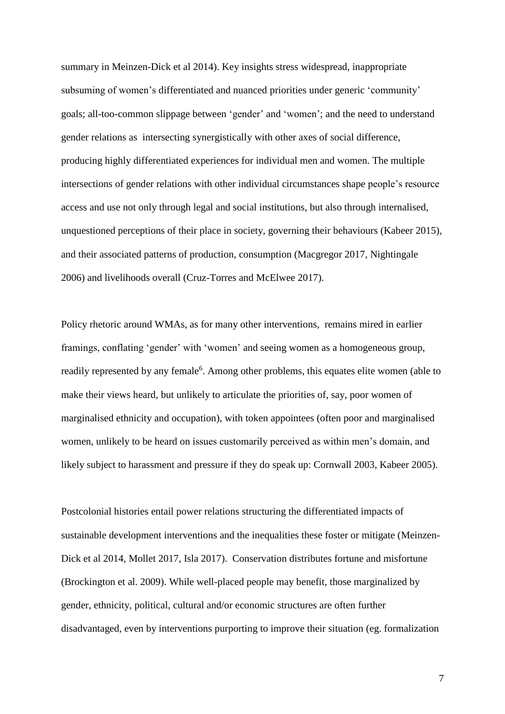summary in Meinzen-Dick et al 2014). Key insights stress widespread, inappropriate subsuming of women's differentiated and nuanced priorities under generic 'community' goals; all-too-common slippage between 'gender' and 'women'; and the need to understand gender relations as intersecting synergistically with other axes of social difference, producing highly differentiated experiences for individual men and women. The multiple intersections of gender relations with other individual circumstances shape people's resource access and use not only through legal and social institutions, but also through internalised, unquestioned perceptions of their place in society, governing their behaviours (Kabeer 2015), and their associated patterns of production, consumption (Macgregor 2017, Nightingale 2006) and livelihoods overall (Cruz-Torres and McElwee 2017).

Policy rhetoric around WMAs, as for many other interventions, remains mired in earlier framings, conflating 'gender' with 'women' and seeing women as a homogeneous group, readily represented by any female<sup>[6](#page-5-0)</sup>. Among other problems, this equates elite women (able to make their views heard, but unlikely to articulate the priorities of, say, poor women of marginalised ethnicity and occupation), with token appointees (often poor and marginalised women, unlikely to be heard on issues customarily perceived as within men's domain, and likely subject to harassment and pressure if they do speak up: Cornwall 2003, Kabeer 2005).

Postcolonial histories entail power relations structuring the differentiated impacts of sustainable development interventions and the inequalities these foster or mitigate (Meinzen-Dick et al 2014, Mollet 2017, Isla 2017). Conservation distributes fortune and misfortune (Brockington et al. 2009). While well-placed people may benefit, those marginalized by gender, ethnicity, political, cultural and/or economic structures are often further disadvantaged, even by interventions purporting to improve their situation (eg. formalization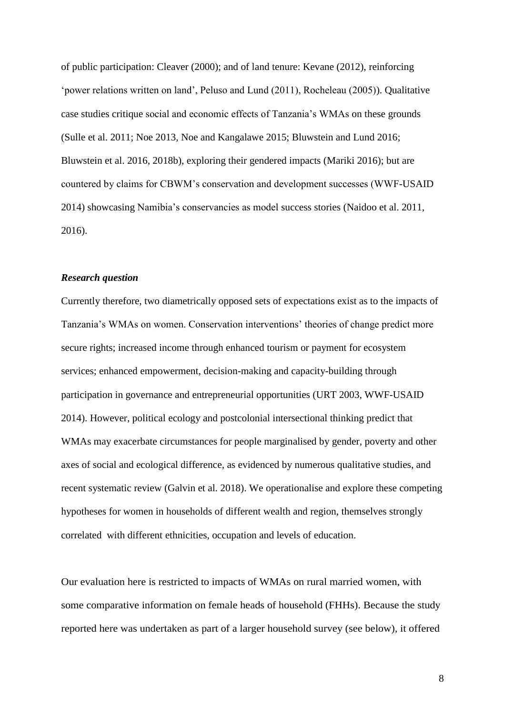of public participation: Cleaver (2000); and of land tenure: Kevane (2012), reinforcing 'power relations written on land', Peluso and Lund (2011), Rocheleau (2005)). Qualitative case studies critique social and economic effects of Tanzania's WMAs on these grounds (Sulle et al. 2011; Noe 2013, Noe and Kangalawe 2015; Bluwstein and Lund 2016; Bluwstein et al. 2016, 2018b), exploring their gendered impacts (Mariki 2016); but are countered by claims for CBWM's conservation and development successes (WWF-USAID 2014) showcasing Namibia's conservancies as model success stories (Naidoo et al. 2011, 2016).

#### *Research question*

Currently therefore, two diametrically opposed sets of expectations exist as to the impacts of Tanzania's WMAs on women. Conservation interventions' theories of change predict more secure rights; increased income through enhanced tourism or payment for ecosystem services; enhanced empowerment, decision-making and capacity-building through participation in governance and entrepreneurial opportunities (URT 2003, WWF-USAID 2014). However, political ecology and postcolonial intersectional thinking predict that WMAs may exacerbate circumstances for people marginalised by gender, poverty and other axes of social and ecological difference, as evidenced by numerous qualitative studies, and recent systematic review (Galvin et al. 2018). We operationalise and explore these competing hypotheses for women in households of different wealth and region, themselves strongly correlated with different ethnicities, occupation and levels of education.

Our evaluation here is restricted to impacts of WMAs on rural married women, with some comparative information on female heads of household (FHHs). Because the study reported here was undertaken as part of a larger household survey (see below), it offered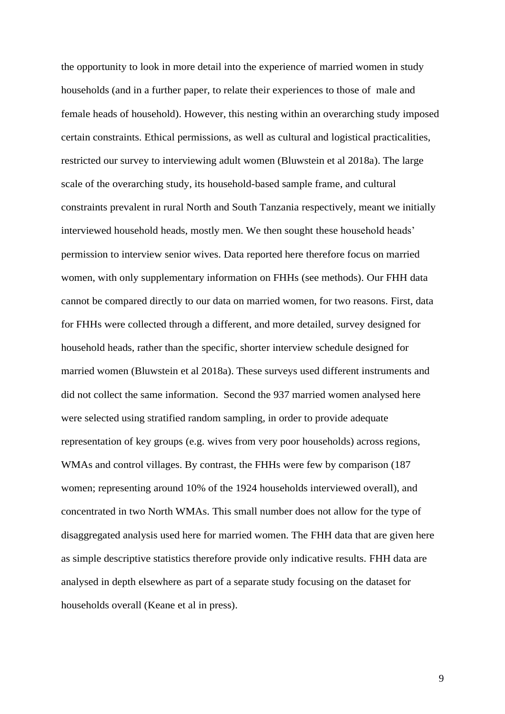the opportunity to look in more detail into the experience of married women in study households (and in a further paper, to relate their experiences to those of male and female heads of household). However, this nesting within an overarching study imposed certain constraints. Ethical permissions, as well as cultural and logistical practicalities, restricted our survey to interviewing adult women (Bluwstein et al 2018a). The large scale of the overarching study, its household-based sample frame, and cultural constraints prevalent in rural North and South Tanzania respectively, meant we initially interviewed household heads, mostly men. We then sought these household heads' permission to interview senior wives. Data reported here therefore focus on married women, with only supplementary information on FHHs (see methods). Our FHH data cannot be compared directly to our data on married women, for two reasons. First, data for FHHs were collected through a different, and more detailed, survey designed for household heads, rather than the specific, shorter interview schedule designed for married women (Bluwstein et al 2018a). These surveys used different instruments and did not collect the same information. Second the 937 married women analysed here were selected using stratified random sampling, in order to provide adequate representation of key groups (e.g. wives from very poor households) across regions, WMAs and control villages. By contrast, the FHHs were few by comparison (187 women; representing around 10% of the 1924 households interviewed overall), and concentrated in two North WMAs. This small number does not allow for the type of disaggregated analysis used here for married women. The FHH data that are given here as simple descriptive statistics therefore provide only indicative results. FHH data are analysed in depth elsewhere as part of a separate study focusing on the dataset for households overall (Keane et al in press).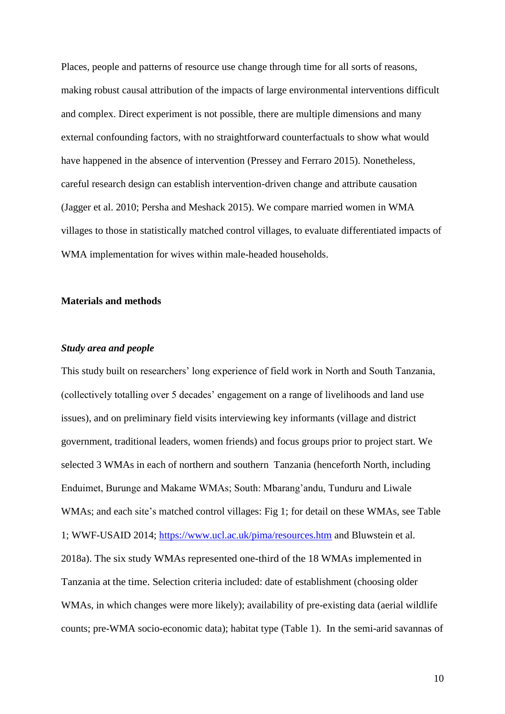Places, people and patterns of resource use change through time for all sorts of reasons, making robust causal attribution of the impacts of large environmental interventions difficult and complex. Direct experiment is not possible, there are multiple dimensions and many external confounding factors, with no straightforward counterfactuals to show what would have happened in the absence of intervention (Pressey and Ferraro 2015). Nonetheless, careful research design can establish intervention-driven change and attribute causation (Jagger et al. 2010; Persha and Meshack 2015). We compare married women in WMA villages to those in statistically matched control villages, to evaluate differentiated impacts of WMA implementation for wives within male-headed households.

## **Materials and methods**

## *Study area and people*

This study built on researchers' long experience of field work in North and South Tanzania, (collectively totalling over 5 decades' engagement on a range of livelihoods and land use issues), and on preliminary field visits interviewing key informants (village and district government, traditional leaders, women friends) and focus groups prior to project start. We selected 3 WMAs in each of northern and southern Tanzania (henceforth North, including Enduimet, Burunge and Makame WMAs; South: Mbarang'andu, Tunduru and Liwale WMAs; and each site's matched control villages: Fig 1; for detail on these WMAs, see Table 1; WWF-USAID 2014; <https://www.ucl.ac.uk/pima/resources.htm> and Bluwstein et al. 2018a). The six study WMAs represented one-third of the 18 WMAs implemented in Tanzania at the time. Selection criteria included: date of establishment (choosing older WMAs, in which changes were more likely); availability of pre-existing data (aerial wildlife counts; pre-WMA socio-economic data); habitat type (Table 1). In the semi-arid savannas of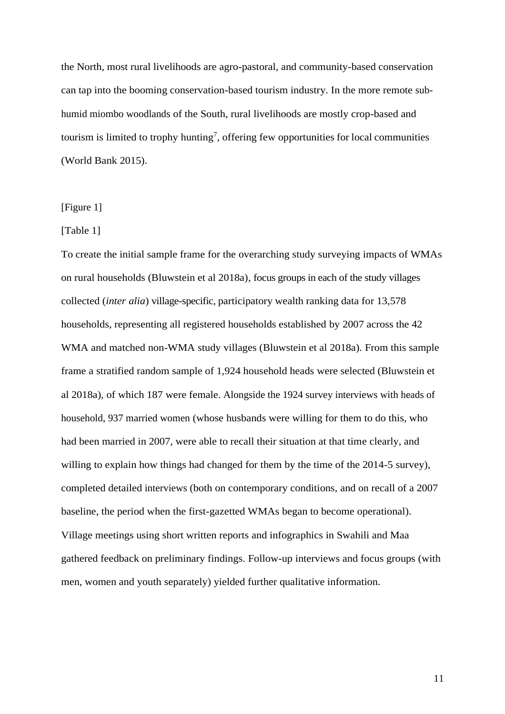the North, most rural livelihoods are agro-pastoral, and community-based conservation can tap into the booming conservation-based tourism industry. In the more remote subhumid miombo woodlands of the South, rural livelihoods are mostly crop-based and tourism is limited to trophy hunting<sup>7</sup>, offering few opportunities for local communities (World Bank 2015).

#### [Figure 1]

#### [Table 1]

To create the initial sample frame for the overarching study surveying impacts of WMAs on rural households (Bluwstein et al 2018a), focus groups in each of the study villages collected (*inter alia*) village-specific, participatory wealth ranking data for 13,578 households, representing all registered households established by 2007 across the 42 WMA and matched non-WMA study villages (Bluwstein et al 2018a). From this sample frame a stratified random sample of 1,924 household heads were selected (Bluwstein et al 2018a), of which 187 were female. Alongside the 1924 survey interviews with heads of household, 937 married women (whose husbands were willing for them to do this, who had been married in 2007, were able to recall their situation at that time clearly, and willing to explain how things had changed for them by the time of the 2014-5 survey), completed detailed interviews (both on contemporary conditions, and on recall of a 2007 baseline, the period when the first-gazetted WMAs began to become operational). Village meetings using short written reports and infographics in Swahili and Maa gathered feedback on preliminary findings. Follow-up interviews and focus groups (with men, women and youth separately) yielded further qualitative information.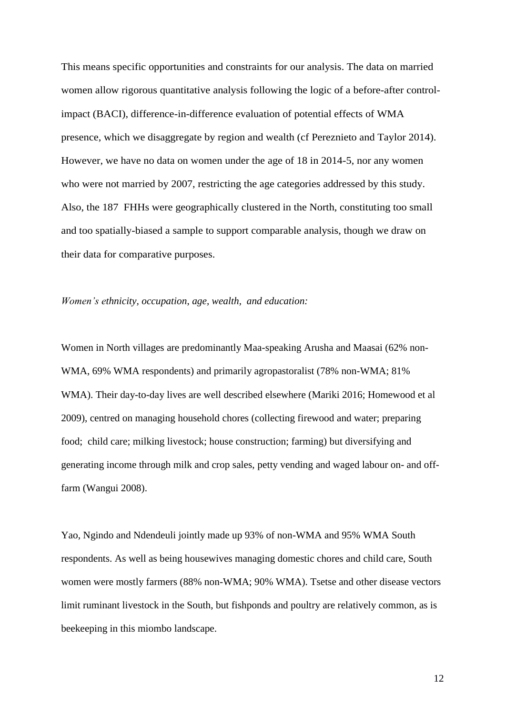This means specific opportunities and constraints for our analysis. The data on married women allow rigorous quantitative analysis following the logic of a before-after controlimpact (BACI), difference-in-difference evaluation of potential effects of WMA presence, which we disaggregate by region and wealth (cf Pereznieto and Taylor 2014). However, we have no data on women under the age of 18 in 2014-5, nor any women who were not married by 2007, restricting the age categories addressed by this study. Also, the 187 FHHs were geographically clustered in the North, constituting too small and too spatially-biased a sample to support comparable analysis, though we draw on their data for comparative purposes.

*Women's ethnicity, occupation*, *age, wealth, and education:* 

Women in North villages are predominantly Maa-speaking Arusha and Maasai (62% non-WMA, 69% WMA respondents) and primarily agropastoralist (78% non-WMA; 81% WMA). Their day-to-day lives are well described elsewhere (Mariki 2016; Homewood et al 2009), centred on managing household chores (collecting firewood and water; preparing food; child care; milking livestock; house construction; farming) but diversifying and generating income through milk and crop sales, petty vending and waged labour on- and offfarm (Wangui 2008).

Yao, Ngindo and Ndendeuli jointly made up 93% of non-WMA and 95% WMA South respondents. As well as being housewives managing domestic chores and child care, South women were mostly farmers (88% non-WMA; 90% WMA). Tsetse and other disease vectors limit ruminant livestock in the South, but fishponds and poultry are relatively common, as is beekeeping in this miombo landscape.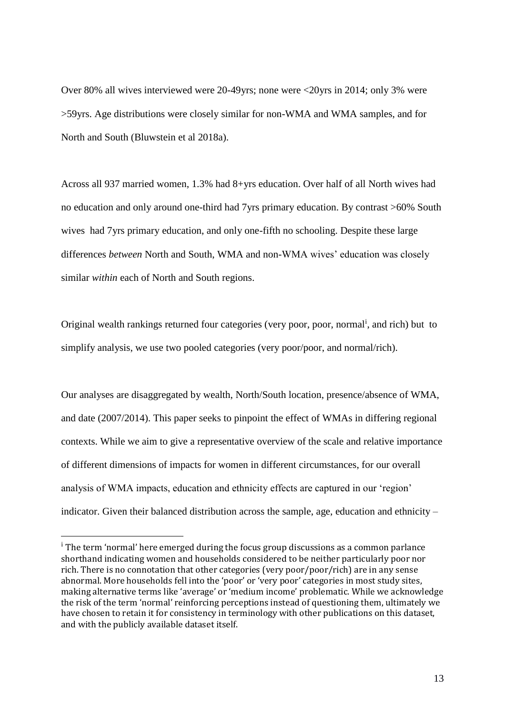Over 80% all wives interviewed were 20-49yrs; none were <20yrs in 2014; only 3% were >59yrs. Age distributions were closely similar for non-WMA and WMA samples, and for North and South (Bluwstein et al 2018a).

Across all 937 married women, 1.3% had 8+yrs education. Over half of all North wives had no education and only around one-third had 7yrs primary education. By contrast >60% South wives had 7yrs primary education, and only one-fifth no schooling. Despite these large differences *between* North and South, WMA and non-WMA wives' education was closely similar *within* each of North and South regions.

Original wealth rankings returned four categories (very poor, poor, normal<sup>i</sup>, and rich) but to simplify analysis, we use two pooled categories (very poor/poor, and normal/rich).

Our analyses are disaggregated by wealth, North/South location, presence/absence of WMA, and date (2007/2014). This paper seeks to pinpoint the effect of WMAs in differing regional contexts. While we aim to give a representative overview of the scale and relative importance of different dimensions of impacts for women in different circumstances, for our overall analysis of WMA impacts, education and ethnicity effects are captured in our 'region' indicator. Given their balanced distribution across the sample, age, education and ethnicity –

 $\overline{a}$ 

<sup>&</sup>lt;sup>i</sup> The term 'normal' here emerged during the focus group discussions as a common parlance shorthand indicating women and households considered to be neither particularly poor nor rich. There is no connotation that other categories (very poor/poor/rich) are in any sense abnormal. More households fell into the 'poor' or 'very poor' categories in most study sites, making alternative terms like 'average' or 'medium income' problematic. While we acknowledge the risk of the term 'normal' reinforcing perceptions instead of questioning them, ultimately we have chosen to retain it for consistency in terminology with other publications on this dataset, and with the publicly available dataset itself.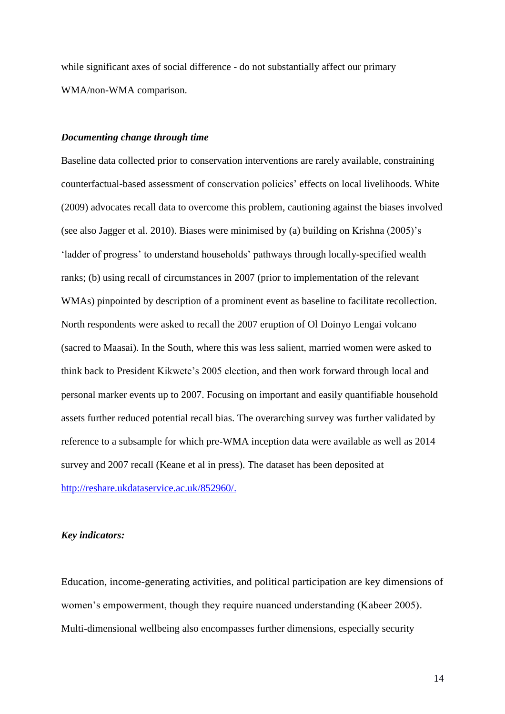while significant axes of social difference - do not substantially affect our primary WMA/non-WMA comparison.

#### *Documenting change through time*

Baseline data collected prior to conservation interventions are rarely available, constraining counterfactual-based assessment of conservation policies' effects on local livelihoods. White (2009) advocates recall data to overcome this problem, cautioning against the biases involved (see also Jagger et al. 2010). Biases were minimised by (a) building on Krishna (2005)'s 'ladder of progress' to understand households' pathways through locally-specified wealth ranks; (b) using recall of circumstances in 2007 (prior to implementation of the relevant WMAs) pinpointed by description of a prominent event as baseline to facilitate recollection. North respondents were asked to recall the 2007 eruption of Ol Doinyo Lengai volcano (sacred to Maasai). In the South, where this was less salient, married women were asked to think back to President Kikwete's 2005 election, and then work forward through local and personal marker events up to 2007. Focusing on important and easily quantifiable household assets further reduced potential recall bias. The overarching survey was further validated by reference to a subsample for which pre-WMA inception data were available as well as 2014 survey and 2007 recall (Keane et al in press). The dataset has been deposited at [http://reshare.ukdataservice.ac.uk/852960/.](http://reshare.ukdataservice.ac.uk/852960/)

#### *Key indicators:*

Education, income-generating activities, and political participation are key dimensions of women's empowerment, though they require nuanced understanding (Kabeer 2005). Multi-dimensional wellbeing also encompasses further dimensions, especially security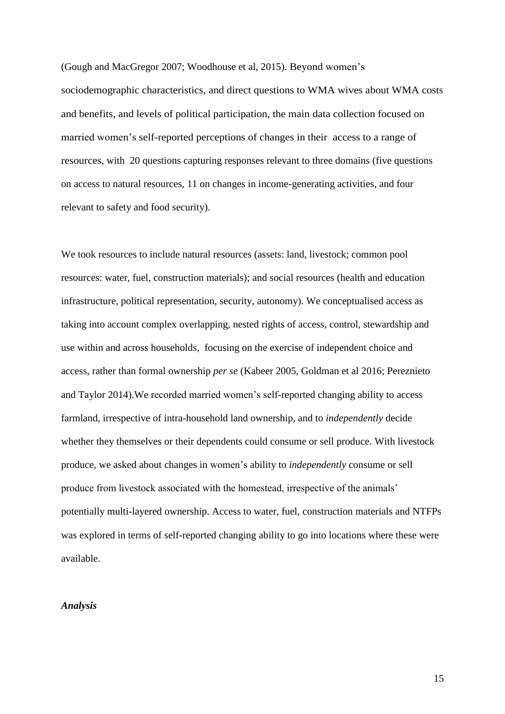(Gough and MacGregor 2007; Woodhouse et al, 2015). Beyond women's sociodemographic characteristics, and direct questions to WMA wives about WMA costs and benefits, and levels of political participation, the main data collection focused on married women's self-reported perceptions of changes in their access to a range of resources, with 20 questions capturing responses relevant to three domains (five questions on access to natural resources, 11 on changes in income-generating activities, and four relevant to safety and food security).

We took resources to include natural resources (assets: land, livestock; common pool resources: water, fuel, construction materials); and social resources (health and education infrastructure, political representation, security, autonomy). We conceptualised acces*s* as taking into account complex overlapping, nested rights of access, control, stewardship and use within and across households, focusing on the exercise of independent choice and access, rather than formal ownership *per se* (Kabeer 2005, Goldman et al 2016; Pereznieto and Taylor 2014).We recorded married women's self-reported changing ability to access farmland, irrespective of intra-household land ownership, and to *independently* decide whether they themselves or their dependents could consume or sell produce. With livestock produce, we asked about changes in women's ability to *independently* consume or sell produce from livestock associated with the homestead, irrespective of the animals' potentially multi-layered ownership. Access to water, fuel, construction materials and NTFPs was explored in terms of self-reported changing ability to go into locations where these were available.

#### *Analysis*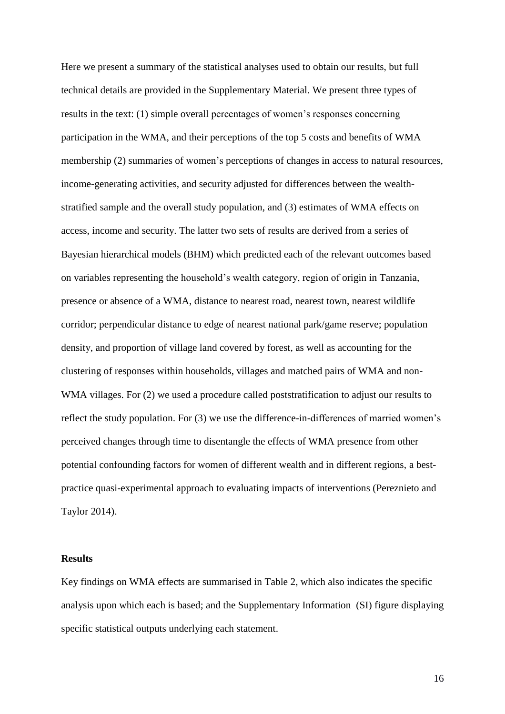Here we present a summary of the statistical analyses used to obtain our results, but full technical details are provided in the Supplementary Material. We present three types of results in the text: (1) simple overall percentages of women's responses concerning participation in the WMA, and their perceptions of the top 5 costs and benefits of WMA membership (2) summaries of women's perceptions of changes in access to natural resources, income-generating activities, and security adjusted for differences between the wealthstratified sample and the overall study population, and (3) estimates of WMA effects on access, income and security. The latter two sets of results are derived from a series of Bayesian hierarchical models (BHM) which predicted each of the relevant outcomes based on variables representing the household's wealth category, region of origin in Tanzania, presence or absence of a WMA, distance to nearest road, nearest town, nearest wildlife corridor; perpendicular distance to edge of nearest national park/game reserve; population density, and proportion of village land covered by forest, as well as accounting for the clustering of responses within households, villages and matched pairs of WMA and non-WMA villages. For (2) we used a procedure called poststratification to adjust our results to reflect the study population. For (3) we use the difference-in-differences of married women's perceived changes through time to disentangle the effects of WMA presence from other potential confounding factors for women of different wealth and in different regions, a bestpractice quasi-experimental approach to evaluating impacts of interventions (Pereznieto and Taylor 2014).

#### **Results**

Key findings on WMA effects are summarised in Table 2, which also indicates the specific analysis upon which each is based; and the Supplementary Information (SI) figure displaying specific statistical outputs underlying each statement.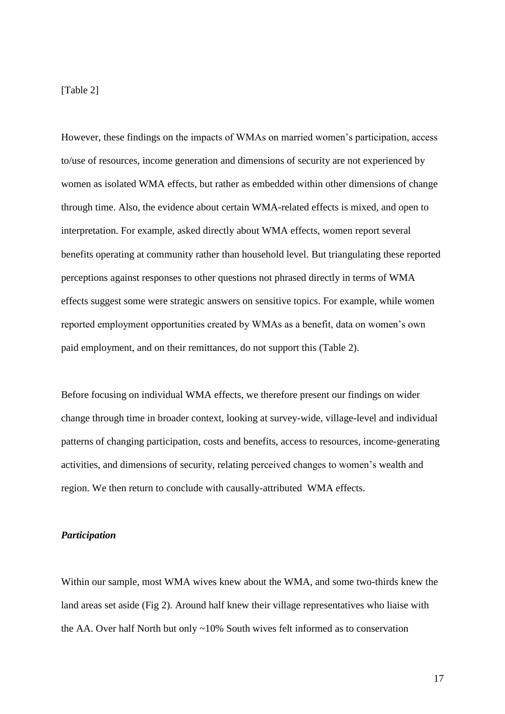### [Table 2]

However, these findings on the impacts of WMAs on married women's participation, access to/use of resources, income generation and dimensions of security are not experienced by women as isolated WMA effects, but rather as embedded within other dimensions of change through time. Also, the evidence about certain WMA-related effects is mixed, and open to interpretation. For example, asked directly about WMA effects, women report several benefits operating at community rather than household level. But triangulating these reported perceptions against responses to other questions not phrased directly in terms of WMA effects suggest some were strategic answers on sensitive topics. For example, while women reported employment opportunities created by WMAs as a benefit, data on women's own paid employment, and on their remittances, do not support this (Table 2).

Before focusing on individual WMA effects, we therefore present our findings on wider change through time in broader context, looking at survey-wide, village-level and individual patterns of changing participation, costs and benefits, access to resources, income-generating activities, and dimensions of security, relating perceived changes to women's wealth and region. We then return to conclude with causally-attributed WMA effects.

#### *Participation*

Within our sample, most WMA wives knew about the WMA, and some two-thirds knew the land areas set aside (Fig 2). Around half knew their village representatives who liaise with the AA. Over half North but only ~10% South wives felt informed as to conservation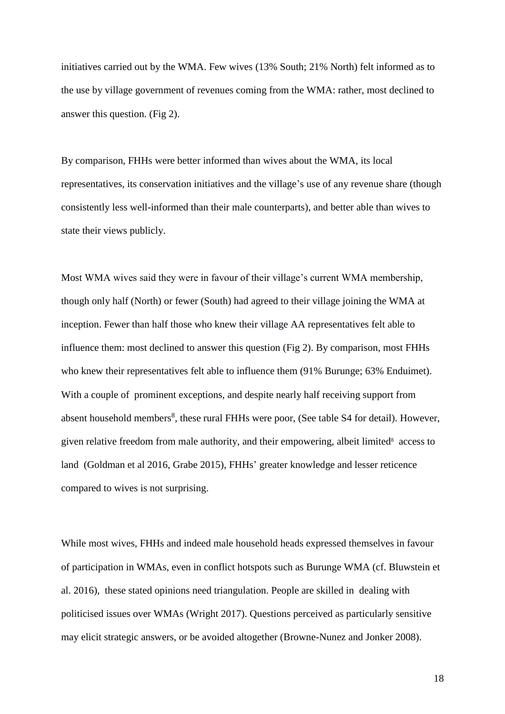initiatives carried out by the WMA. Few wives (13% South; 21% North) felt informed as to the use by village government of revenues coming from the WMA: rather, most declined to answer this question. (Fig 2).

By comparison, FHHs were better informed than wives about the WMA, its local representatives, its conservation initiatives and the village's use of any revenue share (though consistently less well-informed than their male counterparts), and better able than wives to state their views publicly.

Most WMA wives said they were in favour of their village's current WMA membership, though only half (North) or fewer (South) had agreed to their village joining the WMA at inception. Fewer than half those who knew their village AA representatives felt able to influence them: most declined to answer this question (Fig 2). By comparison, most FHHs who knew their representatives felt able to influence them (91% Burunge; 63% Enduimet). With a couple of prominent exceptions, and despite nearly half receiving support from absent household members<sup>8</sup>, these rural FHHs were poor, (See table S4 for detail). However, given relative free[d](#page-17-0)om from male authority, and their empowering, albeit limited<sup>8</sup> access to land (Goldman et al 2016, Grabe 2015), FHHs' greater knowledge and lesser reticence compared to wives is not surprising.

<span id="page-17-0"></span>While most wives, FHHs and indeed male household heads expressed themselves in favour of participation in WMAs, even in conflict hotspots such as Burunge WMA (cf. Bluwstein et al. 2016), these stated opinions need triangulation. People are skilled in dealing with politicised issues over WMAs (Wright 2017). Questions perceived as particularly sensitive may elicit strategic answers, or be avoided altogether (Browne-Nunez and Jonker 2008).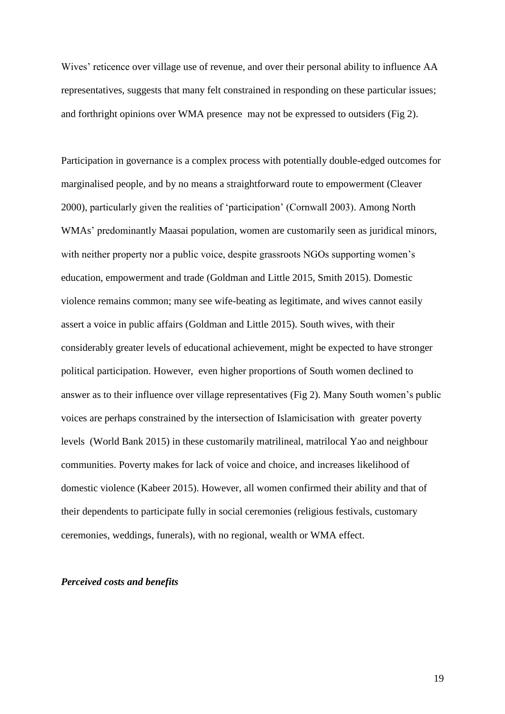Wives' reticence over village use of revenue, and over their personal ability to influence AA representatives, suggests that many felt constrained in responding on these particular issues; and forthright opinions over WMA presence may not be expressed to outsiders (Fig 2).

Participation in governance is a complex process with potentially double-edged outcomes for marginalised people, and by no means a straightforward route to empowerment (Cleaver 2000), particularly given the realities of 'participation' (Cornwall 2003). Among North WMAs' predominantly Maasai population, women are customarily seen as juridical minors, with neither property nor a public voice, despite grassroots NGOs supporting women's education, empowerment and trade (Goldman and Little 2015, Smith 2015). Domestic violence remains common; many see wife-beating as legitimate, and wives cannot easily assert a voice in public affairs (Goldman and Little 2015). South wives, with their considerably greater levels of educational achievement, might be expected to have stronger political participation. However, even higher proportions of South women declined to answer as to their influence over village representatives (Fig 2). Many South women's public voices are perhaps constrained by the intersection of Islamicisation with greater poverty levels (World Bank 2015) in these customarily matrilineal, matrilocal Yao and neighbour communities. Poverty makes for lack of voice and choice, and increases likelihood of domestic violence (Kabeer 2015). However, all women confirmed their ability and that of their dependents to participate fully in social ceremonies (religious festivals, customary ceremonies, weddings, funerals), with no regional, wealth or WMA effect.

### *Perceived costs and benefits*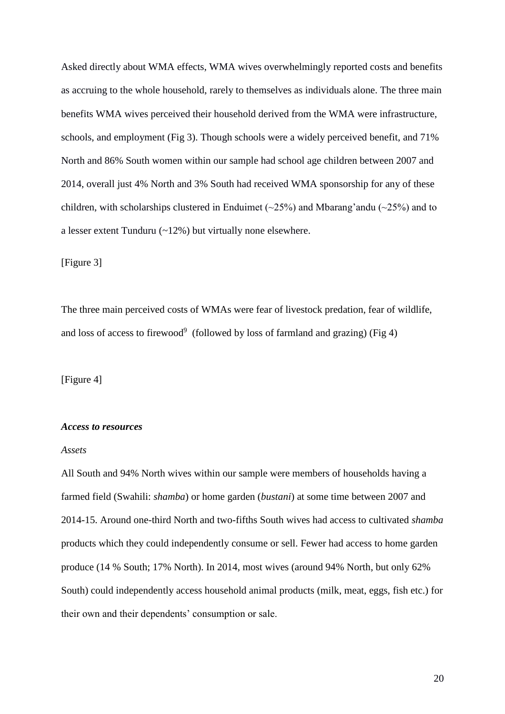Asked directly about WMA effects, WMA wives overwhelmingly reported costs and benefits as accruing to the whole household, rarely to themselves as individuals alone. The three main benefits WMA wives perceived their household derived from the WMA were infrastructure, schools, and employment (Fig 3). Though schools were a widely perceived benefit, and 71% North and 86% South women within our sample had school age children between 2007 and 2014, overall just 4% North and 3% South had received WMA sponsorship for any of these children, with scholarships clustered in Enduimet ( $\sim$ 25%) and Mbarang'andu ( $\sim$ 25%) and to a lesser extent Tunduru (~12%) but virtually none elsewhere.

[Figure 3]

The three main perceived costs of WMAs were fear of livestock predation, fear of wildlife, and loss of access to firewood<sup>9</sup> (followed by loss of farmland and grazing) (Fig 4)

[Figure 4]

#### *Access to resources*

#### *Assets*

All South and 94% North wives within our sample were members of households having a farmed field (Swahili: *shamba*) or home garden (*bustani*) at some time between 2007 and 2014-15. Around one-third North and two-fifths South wives had access to cultivated *shamba* products which they could independently consume or sell. Fewer had access to home garden produce (14 % South; 17% North). In 2014, most wives (around 94% North, but only 62% South) could independently access household animal products (milk, meat, eggs, fish etc.) for their own and their dependents' consumption or sale.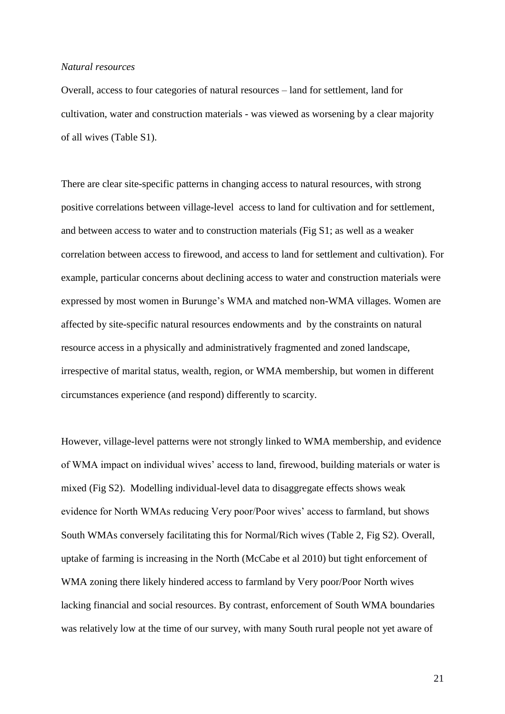#### *Natural resources*

Overall, access to four categories of natural resources – land for settlement, land for cultivation, water and construction materials - was viewed as worsening by a clear majority of all wives (Table S1).

There are clear site-specific patterns in changing access to natural resources, with strong positive correlations between village-level access to land for cultivation and for settlement, and between access to water and to construction materials (Fig S1; as well as a weaker correlation between access to firewood, and access to land for settlement and cultivation). For example, particular concerns about declining access to water and construction materials were expressed by most women in Burunge's WMA and matched non-WMA villages. Women are affected by site-specific natural resources endowments and by the constraints on natural resource access in a physically and administratively fragmented and zoned landscape, irrespective of marital status, wealth, region, or WMA membership, but women in different circumstances experience (and respond) differently to scarcity.

However, village-level patterns were not strongly linked to WMA membership, and evidence of WMA impact on individual wives' access to land, firewood, building materials or water is mixed (Fig S2). Modelling individual-level data to disaggregate effects shows weak evidence for North WMAs reducing Very poor/Poor wives' access to farmland, but shows South WMAs conversely facilitating this for Normal/Rich wives (Table 2, Fig S2). Overall, uptake of farming is increasing in the North (McCabe et al 2010) but tight enforcement of WMA zoning there likely hindered access to farmland by Very poor/Poor North wives lacking financial and social resources. By contrast, enforcement of South WMA boundaries was relatively low at the time of our survey, with many South rural people not yet aware of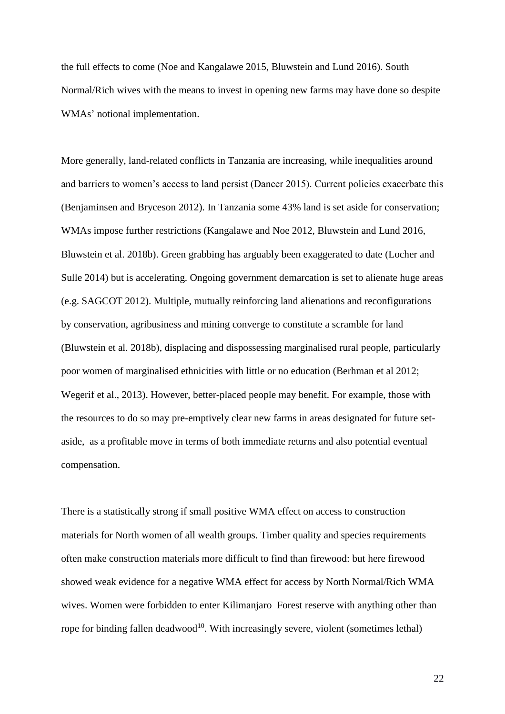the full effects to come (Noe and Kangalawe 2015, Bluwstein and Lund 2016). South Normal/Rich wives with the means to invest in opening new farms may have done so despite WMAs' notional implementation.

More generally, land-related conflicts in Tanzania are increasing, while inequalities around and barriers to women's access to land persist (Dancer 2015). Current policies exacerbate this (Benjaminsen and Bryceson 2012). In Tanzania some 43% land is set aside for conservation; WMAs impose further restrictions (Kangalawe and Noe 2012, Bluwstein and Lund 2016, Bluwstein et al. 2018b). Green grabbing has arguably been exaggerated to date (Locher and Sulle 2014) but is accelerating. Ongoing government demarcation is set to alienate huge areas (e.g. SAGCOT 2012). Multiple, mutually reinforcing land alienations and reconfigurations by conservation, agribusiness and mining converge to constitute a scramble for land (Bluwstein et al. 2018b), displacing and dispossessing marginalised rural people, particularly poor women of marginalised ethnicities with little or no education (Berhman et al 2012; Wegerif et al., 2013). However, better-placed people may benefit. For example, those with the resources to do so may pre-emptively clear new farms in areas designated for future setaside, as a profitable move in terms of both immediate returns and also potential eventual compensation.

<span id="page-21-0"></span>There is a statistically strong if small positive WMA effect on access to construction materials for North women of all wealth groups. Timber quality and species requirements often make construction materials more difficult to find than firewood: but here firewood showed weak evidence for a negative WMA effect for access by North Normal/Rich WMA wives. Women were forbidden to enter Kilimanjaro Forest reserve with anything other than rope for binding fallen deadwood<sup>10</sup>. With increasingly severe, violent (sometimes lethal)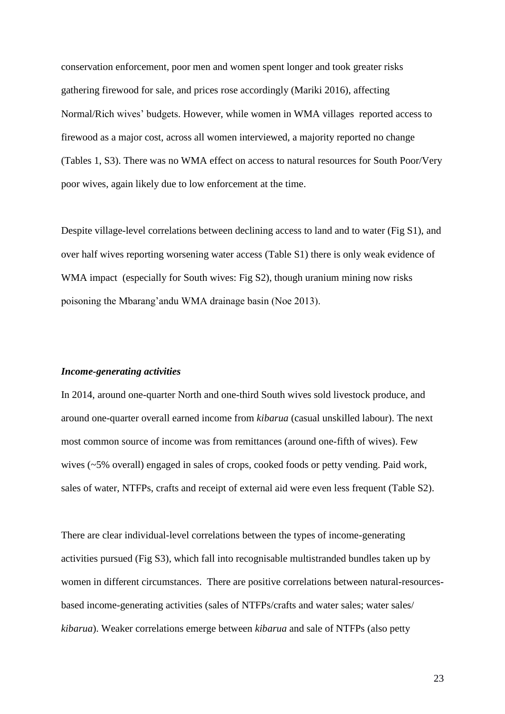conservation enforcement, poor men and women spent longer and took greater risks gathering firewood for sale, and prices rose accordingly (Mariki 2016), affecting Normal/Rich wives' budgets. However, while women in WMA villages reported access to firewood as a major cost, across all women interviewed, a majority reported no change (Tables 1, S3). There was no WMA effect on access to natural resources for South Poor/Very poor wives, again likely due to low enforcement at the time.

Despite village-level correlations between declining access to land and to water (Fig S1), and over half wives reporting worsening water access (Table S1) there is only weak evidence of WMA impact (especially for South wives: Fig S2), though uranium mining now risks poisoning the Mbarang'andu WMA drainage basin (Noe 2013).

#### *Income-generating activities*

In 2014, around one-quarter North and one-third South wives sold livestock produce, and around one-quarter overall earned income from *kibarua* (casual unskilled labour). The next most common source of income was from remittances (around one-fifth of wives). Few wives (~5% overall) engaged in sales of crops, cooked foods or petty vending. Paid work, sales of water, NTFPs, crafts and receipt of external aid were even less frequent (Table S2).

There are clear individual-level correlations between the types of income-generating activities pursued (Fig S3), which fall into recognisable multistranded bundles taken up by women in different circumstances. There are positive correlations between natural-resourcesbased income-generating activities (sales of NTFPs/crafts and water sales; water sales/ *kibarua*). Weaker correlations emerge between *kibarua* and sale of NTFPs (also petty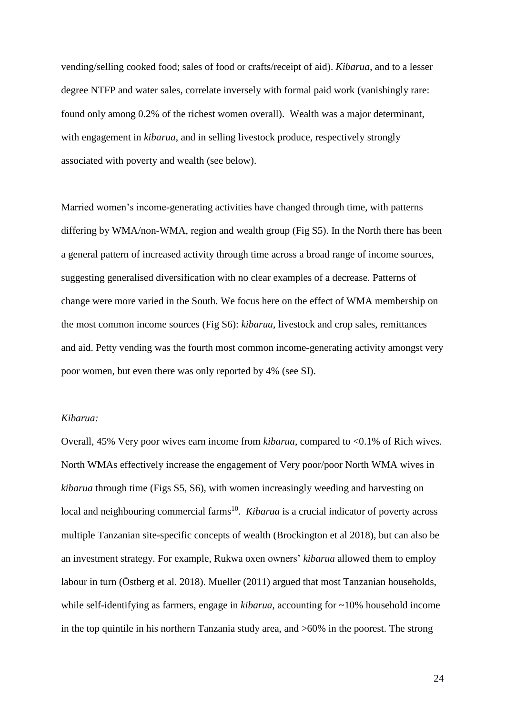vending/selling cooked food; sales of food or crafts/receipt of aid). *Kibarua*, and to a lesser degree NTFP and water sales, correlate inversely with formal paid work (vanishingly rare: found only among 0.2% of the richest women overall). Wealth was a major determinant, with engagement in *kibarua*, and in selling livestock produce, respectively strongly associated with poverty and wealth (see below).

Married women's income-generating activities have changed through time, with patterns differing by WMA/non-WMA, region and wealth group (Fig S5). In the North there has been a general pattern of increased activity through time across a broad range of income sources, suggesting generalised diversification with no clear examples of a decrease. Patterns of change were more varied in the South. We focus here on the effect of WMA membership on the most common income sources (Fig S6): *kibarua*, livestock and crop sales, remittances and aid. Petty vending was the fourth most common income-generating activity amongst very poor women, but even there was only reported by 4% (see SI).

#### *Kibarua:*

Overall, 45% Very poor wives earn income from *kibarua*, compared to <0.1% of Rich wives. North WMAs effectively increase the engagement of Very poor/poor North WMA wives in *kibarua* through time (Figs S5, S6), with women increasingly weeding and harvesting on local and neighbouring commercial farms<sup>[10](#page-21-0)</sup>. *Kibarua* is a crucial indicator of poverty across multiple Tanzanian site-specific concepts of wealth (Brockington et al 2018), but can also be an investment strategy. For example, Rukwa oxen owners' *kibarua* allowed them to employ labour in turn (Östberg et al. 2018). Mueller (2011) argued that most Tanzanian households, while self-identifying as farmers, engage in *kibarua*, accounting for ~10% household income in the top quintile in his northern Tanzania study area, and >60% in the poorest. The strong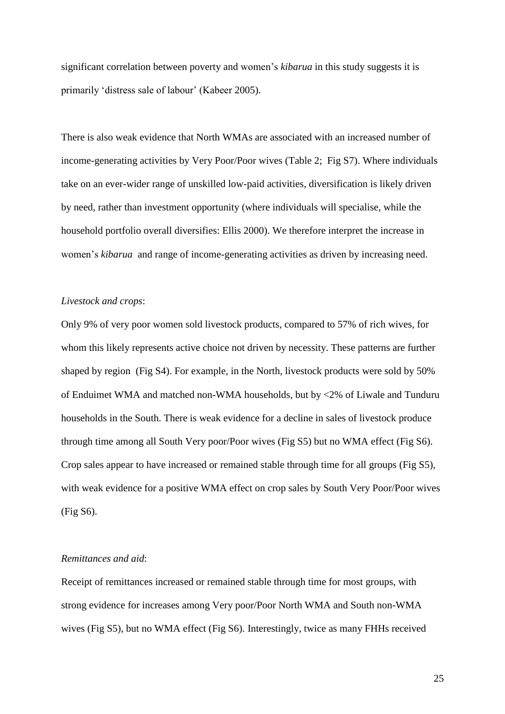significant correlation between poverty and women's *kibarua* in this study suggests it is primarily 'distress sale of labour' (Kabeer 2005).

There is also weak evidence that North WMAs are associated with an increased number of income-generating activities by Very Poor/Poor wives (Table 2; Fig S7). Where individuals take on an ever-wider range of unskilled low-paid activities, diversification is likely driven by need, rather than investment opportunity (where individuals will specialise, while the household portfolio overall diversifies: Ellis 2000). We therefore interpret the increase in women's *kibarua* and range of income-generating activities as driven by increasing need.

#### *Livestock and crops*:

Only 9% of very poor women sold livestock products, compared to 57% of rich wives, for whom this likely represents active choice not driven by necessity. These patterns are further shaped by region (Fig S4). For example, in the North, livestock products were sold by 50% of Enduimet WMA and matched non-WMA households, but by <2% of Liwale and Tunduru households in the South. There is weak evidence for a decline in sales of livestock produce through time among all South Very poor/Poor wives (Fig S5) but no WMA effect (Fig S6). Crop sales appear to have increased or remained stable through time for all groups (Fig S5), with weak evidence for a positive WMA effect on crop sales by South Very Poor/Poor wives (Fig S6).

## *Remittances and aid*:

Receipt of remittances increased or remained stable through time for most groups, with strong evidence for increases among Very poor/Poor North WMA and South non-WMA wives (Fig S5), but no WMA effect (Fig S6). Interestingly, twice as many FHHs received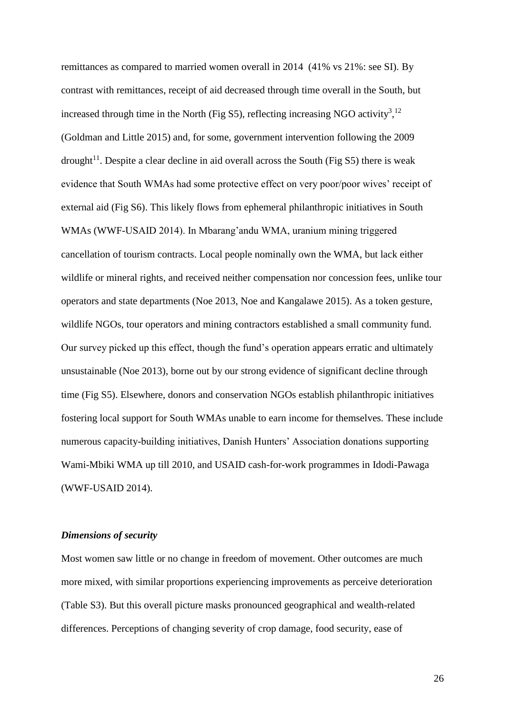remittances as compared to married women overall in 2014 (41% vs 21%: see SI). By contrast with remittances, receipt of aid decreased through time overall in the South, but increased through time in the North (Fig S5), reflecting increasing NGO activity<sup>[3](#page-4-0)</sup>,<sup>[12](#page-26-0)</sup> (Goldman and Little 2015) and, for some, government intervention following the 2009 drought<sup>11</sup>. Despite a clear decline in aid overall across the South (Fig S5) there is weak evidence that South WMAs had some protective effect on very poor/poor wives' receipt of external aid (Fig S6). This likely flows from ephemeral philanthropic initiatives in South WMAs (WWF-USAID 2014). In Mbarang'andu WMA, uranium mining triggered cancellation of tourism contracts. Local people nominally own the WMA, but lack either wildlife or mineral rights, and received neither compensation nor concession fees, unlike tour operators and state departments (Noe 2013, Noe and Kangalawe 2015). As a token gesture, wildlife NGOs, tour operators and mining contractors established a small community fund. Our survey picked up this effect, though the fund's operation appears erratic and ultimately unsustainable (Noe 2013), borne out by our strong evidence of significant decline through time (Fig S5). Elsewhere, donors and conservation NGOs establish philanthropic initiatives fostering local support for South WMAs unable to earn income for themselves. These include numerous capacity-building initiatives, Danish Hunters' Association donations supporting Wami-Mbiki WMA up till 2010, and USAID cash-for-work programmes in Idodi-Pawaga (WWF-USAID 2014).

#### *Dimensions of security*

Most women saw little or no change in freedom of movement. Other outcomes are much more mixed, with similar proportions experiencing improvements as perceive deterioration (Table S3). But this overall picture masks pronounced geographical and wealth-related differences. Perceptions of changing severity of crop damage, food security, ease of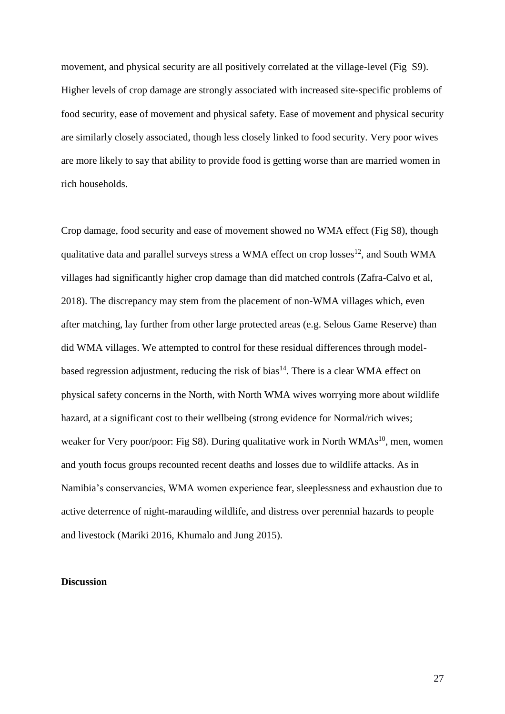movement, and physical security are all positively correlated at the village-level (Fig S9). Higher levels of crop damage are strongly associated with increased site-specific problems of food security, ease of movement and physical safety. Ease of movement and physical security are similarly closely associated, though less closely linked to food security. Very poor wives are more likely to say that ability to provide food is getting worse than are married women in rich households.

<span id="page-26-0"></span>Crop damage, food security and ease of movement showed no WMA effect (Fig S8), though qualitative data and parallel surveys stress a WMA effect on crop losses $^{12}$ , and South WMA villages had significantly higher crop damage than did matched controls (Zafra-Calvo et al, 2018). The discrepancy may stem from the placement of non-WMA villages which, even after matching, lay further from other large protected areas (e.g. Selous Game Reserve) than did WMA villages. We attempted to control for these residual differences through model-based regression adjustment, reducing the risk of bias<sup>[14](#page-28-0)</sup>. There is a clear WMA effect on physical safety concerns in the North, with North WMA wives worrying more about wildlife hazard, at a significant cost to their wellbeing (strong evidence for Normal/rich wives; weaker for Very poor/poor: Fig S8). During qualitative work in North WMAs<sup>[10](#page-21-0)</sup>, men, women and youth focus groups recounted recent deaths and losses due to wildlife attacks. As in Namibia's conservancies, WMA women experience fear, sleeplessness and exhaustion due to active deterrence of night-marauding wildlife, and distress over perennial hazards to people and livestock (Mariki 2016, Khumalo and Jung 2015).

## **Discussion**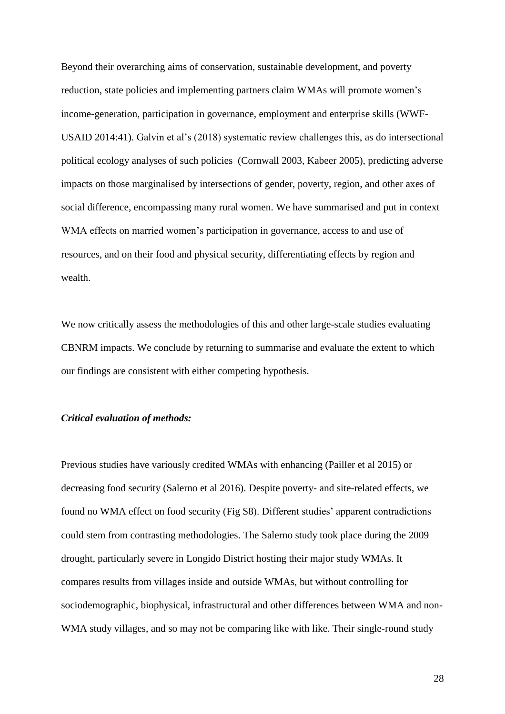Beyond their overarching aims of conservation, sustainable development, and poverty reduction, state policies and implementing partners claim WMAs will promote women's income-generation, participation in governance, employment and enterprise skills (WWF-USAID 2014:41). Galvin et al's (2018) systematic review challenges this, as do intersectional political ecology analyses of such policies (Cornwall 2003, Kabeer 2005), predicting adverse impacts on those marginalised by intersections of gender, poverty, region, and other axes of social difference, encompassing many rural women. We have summarised and put in context WMA effects on married women's participation in governance, access to and use of resources, and on their food and physical security, differentiating effects by region and wealth.

We now critically assess the methodologies of this and other large-scale studies evaluating CBNRM impacts. We conclude by returning to summarise and evaluate the extent to which our findings are consistent with either competing hypothesis.

## *Critical evaluation of methods:*

Previous studies have variously credited WMAs with enhancing (Pailler et al 2015) or decreasing food security (Salerno et al 2016). Despite poverty- and site-related effects, we found no WMA effect on food security (Fig S8). Different studies' apparent contradictions could stem from contrasting methodologies. The Salerno study took place during the 2009 drought, particularly severe in Longido District hosting their major study WMAs. It compares results from villages inside and outside WMAs, but without controlling for sociodemographic, biophysical, infrastructural and other differences between WMA and non-WMA study villages, and so may not be comparing like with like. Their single-round study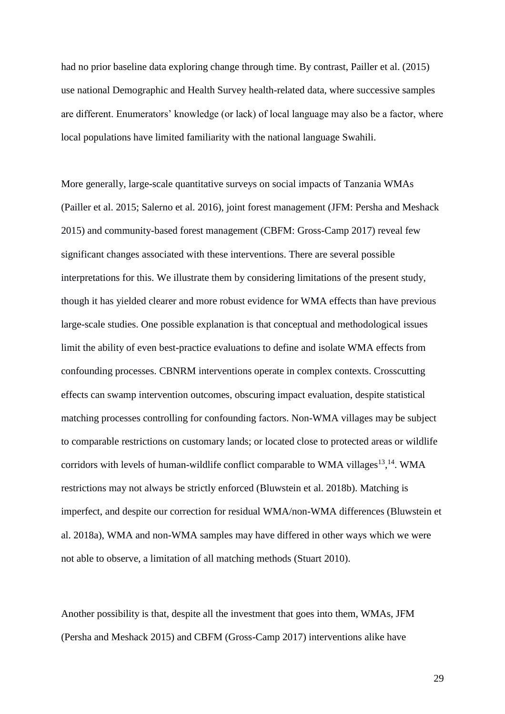had no prior baseline data exploring change through time. By contrast, Pailler et al. (2015) use national Demographic and Health Survey health-related data, where successive samples are different. Enumerators' knowledge (or lack) of local language may also be a factor, where local populations have limited familiarity with the national language Swahili.

More generally, large-scale quantitative surveys on social impacts of Tanzania WMAs (Pailler et al. 2015; Salerno et al. 2016), joint forest management (JFM: Persha and Meshack 2015) and community-based forest management (CBFM: Gross-Camp 2017) reveal few significant changes associated with these interventions. There are several possible interpretations for this. We illustrate them by considering limitations of the present study, though it has yielded clearer and more robust evidence for WMA effects than have previous large-scale studies. One possible explanation is that conceptual and methodological issues limit the ability of even best-practice evaluations to define and isolate WMA effects from confounding processes. CBNRM interventions operate in complex contexts. Crosscutting effects can swamp intervention outcomes, obscuring impact evaluation, despite statistical matching processes controlling for confounding factors. Non-WMA villages may be subject to comparable restrictions on customary lands; or located close to protected areas or wildlife corridors with levels of human-wildlife conflict comparable to WMA villages $13,14$ . WMA restrictions may not always be strictly enforced (Bluwstein et al. 2018b). Matching is imperfect, and despite our correction for residual WMA/non-WMA differences (Bluwstein et al. 2018a), WMA and non-WMA samples may have differed in other ways which we were not able to observe, a limitation of all matching methods (Stuart 2010).

<span id="page-28-0"></span>Another possibility is that, despite all the investment that goes into them, WMAs, JFM (Persha and Meshack 2015) and CBFM (Gross-Camp 2017) interventions alike have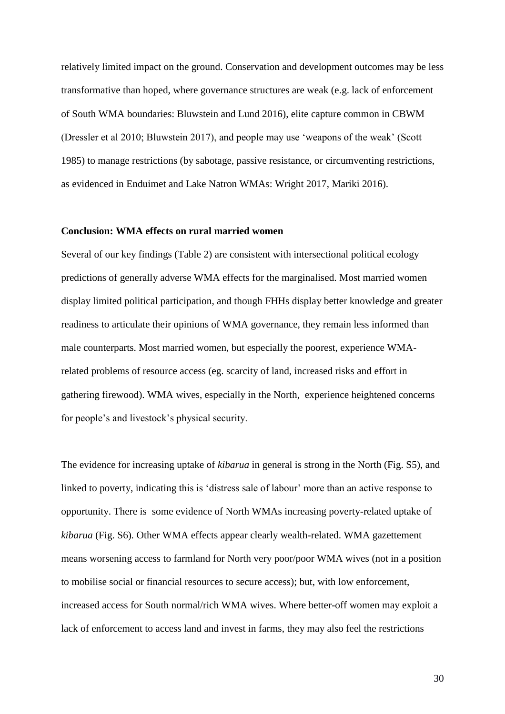relatively limited impact on the ground. Conservation and development outcomes may be less transformative than hoped, where governance structures are weak (e.g. lack of enforcement of South WMA boundaries: Bluwstein and Lund 2016), elite capture common in CBWM (Dressler et al 2010; Bluwstein 2017), and people may use 'weapons of the weak' (Scott 1985) to manage restrictions (by sabotage, passive resistance, or circumventing restrictions, as evidenced in Enduimet and Lake Natron WMAs: Wright 2017, Mariki 2016).

#### **Conclusion: WMA effects on rural married women**

Several of our key findings (Table 2) are consistent with intersectional political ecology predictions of generally adverse WMA effects for the marginalised. Most married women display limited political participation, and though FHHs display better knowledge and greater readiness to articulate their opinions of WMA governance, they remain less informed than male counterparts. Most married women, but especially the poorest, experience WMArelated problems of resource access (eg. scarcity of land, increased risks and effort in gathering firewood). WMA wives, especially in the North, experience heightened concerns for people's and livestock's physical security.

The evidence for increasing uptake of *kibarua* in general is strong in the North (Fig. S5), and linked to poverty, indicating this is 'distress sale of labour' more than an active response to opportunity. There is some evidence of North WMAs increasing poverty-related uptake of *kibarua* (Fig. S6)*.* Other WMA effects appear clearly wealth-related. WMA gazettement means worsening access to farmland for North very poor/poor WMA wives (not in a position to mobilise social or financial resources to secure access); but, with low enforcement, increased access for South normal/rich WMA wives. Where better-off women may exploit a lack of enforcement to access land and invest in farms, they may also feel the restrictions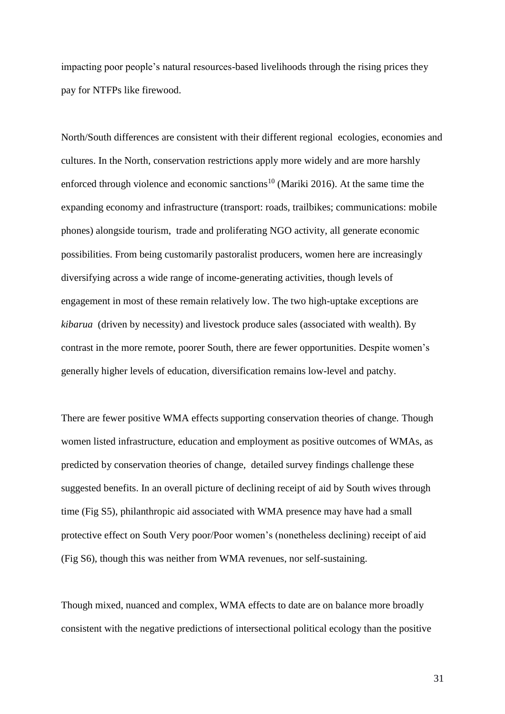impacting poor people's natural resources-based livelihoods through the rising prices they pay for NTFPs like firewood.

North/South differences are consistent with their different regional ecologies, economies and cultures. In the North, conservation restrictions apply more widely and are more harshly enforced through violence and economic sanctions<sup>[10](#page-21-0)</sup> (Mariki 2016). At the same time the expanding economy and infrastructure (transport: roads, trailbikes; communications: mobile phones) alongside tourism, trade and proliferating NGO activity, all generate economic possibilities. From being customarily pastoralist producers, women here are increasingly diversifying across a wide range of income-generating activities, though levels of engagement in most of these remain relatively low. The two high-uptake exceptions are *kibarua* (driven by necessity) and livestock produce sales (associated with wealth). By contrast in the more remote, poorer South, there are fewer opportunities. Despite women's generally higher levels of education, diversification remains low-level and patchy.

There are fewer positive WMA effects supporting conservation theories of change. Though women listed infrastructure, education and employment as positive outcomes of WMAs, as predicted by conservation theories of change, detailed survey findings challenge these suggested benefits. In an overall picture of declining receipt of aid by South wives through time (Fig S5), philanthropic aid associated with WMA presence may have had a small protective effect on South Very poor/Poor women's (nonetheless declining) receipt of aid (Fig S6), though this was neither from WMA revenues, nor self-sustaining.

Though mixed, nuanced and complex, WMA effects to date are on balance more broadly consistent with the negative predictions of intersectional political ecology than the positive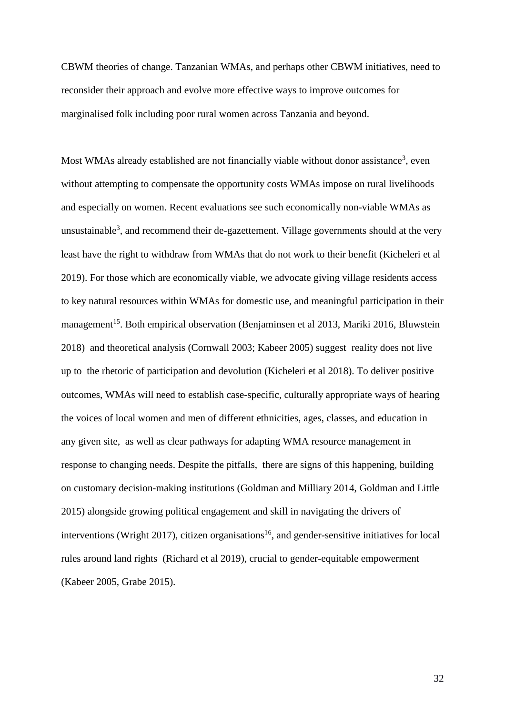CBWM theories of change. Tanzanian WMAs, and perhaps other CBWM initiatives, need to reconsider their approach and evolve more effective ways to improve outcomes for marginalised folk including poor rural women across Tanzania and beyond.

Most WMAs already established are not financially viable without donor assistance<sup>[3](#page-4-0)</sup>, even without attempting to compensate the opportunity costs WMAs impose on rural livelihoods and especially on women. Recent evaluations see such economically non-viable WMAs as unsustainable<sup>[3](#page-4-0)</sup>, and recommend their de-gazettement. Village governments should at the very least have the right to withdraw from WMAs that do not work to their benefit (Kicheleri et al 2019). For those which are economically viable, we advocate giving village residents access to key natural resources within WMAs for domestic use, and meaningful participation in their management<sup>15</sup>. Both empirical observation (Benjaminsen et al 2013, Mariki 2016, Bluwstein 2018) and theoretical analysis (Cornwall 2003; Kabeer 2005) suggest reality does not live up to the rhetoric of participation and devolution (Kicheleri et al 2018). To deliver positive outcomes, WMAs will need to establish case-specific, culturally appropriate ways of hearing the voices of local women and men of different ethnicities, ages, classes, and education in any given site, as well as clear pathways for adapting WMA resource management in response to changing needs. Despite the pitfalls, there are signs of this happening, building on customary decision-making institutions (Goldman and Milliary 2014, Goldman and Little 2015) alongside growing political engagement and skill in navigating the drivers of interventions (Wright 2017), citizen organisations<sup>16</sup>, and gender-sensitive initiatives for local rules around land rights (Richard et al 2019), crucial to gender-equitable empowerment (Kabeer 2005, Grabe 2015).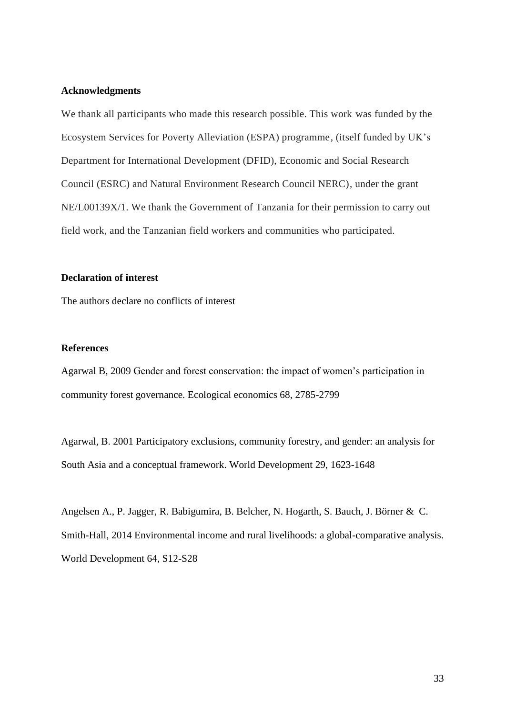## **Acknowledgments**

We thank all participants who made this research possible. This work was funded by the Ecosystem Services for Poverty Alleviation (ESPA) programme, (itself funded by UK's Department for International Development (DFID), Economic and Social Research Council (ESRC) and Natural Environment Research Council NERC), under the grant NE/L00139X/1. We thank the Government of Tanzania for their permission to carry out field work, and the Tanzanian field workers and communities who participated.

#### **Declaration of interest**

The authors declare no conflicts of interest

## **References**

Agarwal B, 2009 Gender and forest conservation: the impact of women's participation in community forest governance. Ecological economics 68, 2785-2799

Agarwal, B. 2001 Participatory exclusions, community forestry, and gender: an analysis for South Asia and a conceptual framework. World Development 29, 1623-1648

Angelsen A., P. Jagger, R. Babigumira, B. Belcher, N. Hogarth, S. Bauch, J. Börner & C. Smith-Hall, 2014 Environmental income and rural livelihoods: a global-comparative analysis. World Development 64, S12-S28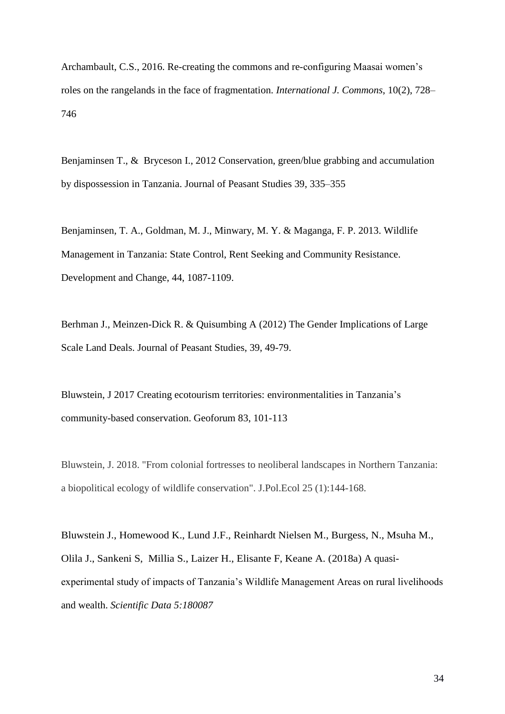Archambault, C.S., 2016. Re-creating the commons and re-configuring Maasai women's roles on the rangelands in the face of fragmentation. *International J. Commons*, 10(2), 728– 746

Benjaminsen T., & Bryceson I., 2012 Conservation, green/blue grabbing and accumulation by dispossession in Tanzania. Journal of Peasant Studies 39, 335–355

Benjaminsen, T. A., Goldman, M. J., Minwary, M. Y. & Maganga, F. P. 2013. Wildlife Management in Tanzania: State Control, Rent Seeking and Community Resistance. Development and Change, 44, 1087-1109.

Berhman J., Meinzen-Dick R. & Quisumbing A (2012) The Gender Implications of Large Scale Land Deals. Journal of Peasant Studies, 39, 49-79.

Bluwstein, J 2017 Creating ecotourism territories: environmentalities in Tanzania's community-based conservation. Geoforum 83, 101-113

Bluwstein, J. 2018. "From colonial fortresses to neoliberal landscapes in Northern Tanzania: a biopolitical ecology of wildlife conservation". J.Pol.Ecol 25 (1):144-168.

Bluwstein J., Homewood K., Lund J.F., Reinhardt Nielsen M., Burgess, N., Msuha M., Olila J., Sankeni S, Millia S., Laizer H., Elisante F, Keane A. (2018a) A quasiexperimental study of impacts of Tanzania's Wildlife Management Areas on rural livelihoods and wealth. *Scientific Data 5:180087*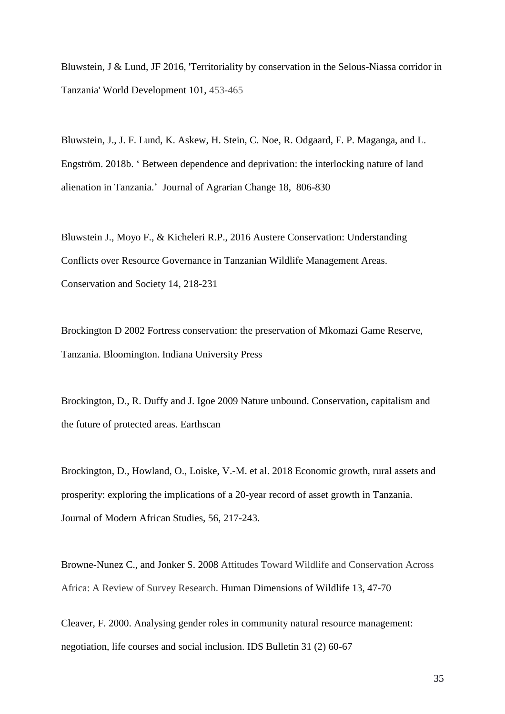Bluwstein, J & Lund, JF 2016, 'Territoriality by conservation in the Selous-Niassa corridor in Tanzania' World Development 101, 453-465

Bluwstein, J., J. F. Lund, K. Askew, H. Stein, C. Noe, R. Odgaard, F. P. Maganga, and L. Engström. 2018b. ' Between dependence and deprivation: the interlocking nature of land alienation in Tanzania.' Journal of Agrarian Change 18, 806-830

Bluwstein J., Moyo F., & Kicheleri R.P., 2016 Austere Conservation: Understanding Conflicts over Resource Governance in Tanzanian Wildlife Management Areas. Conservation and Society 14, 218-231

Brockington D 2002 Fortress conservation: the preservation of Mkomazi Game Reserve, Tanzania. Bloomington. Indiana University Press

Brockington, D., R. Duffy and J. Igoe 2009 Nature unbound. Conservation, capitalism and the future of protected areas. Earthscan

Brockington, D., Howland, O., Loiske, V.-M. et al. 2018 Economic growth, rural assets and prosperity: exploring the implications of a 20-year record of asset growth in Tanzania. Journal of Modern African Studies, 56, 217-243.

Browne-Nunez C., and Jonker S. 2008 Attitudes Toward Wildlife and Conservation Across Africa: A Review of Survey Research. Human Dimensions of Wildlife 13, 47-70

Cleaver, F. 2000. Analysing gender roles in community natural resource management: negotiation, life courses and social inclusion. IDS Bulletin 31 (2) 60-67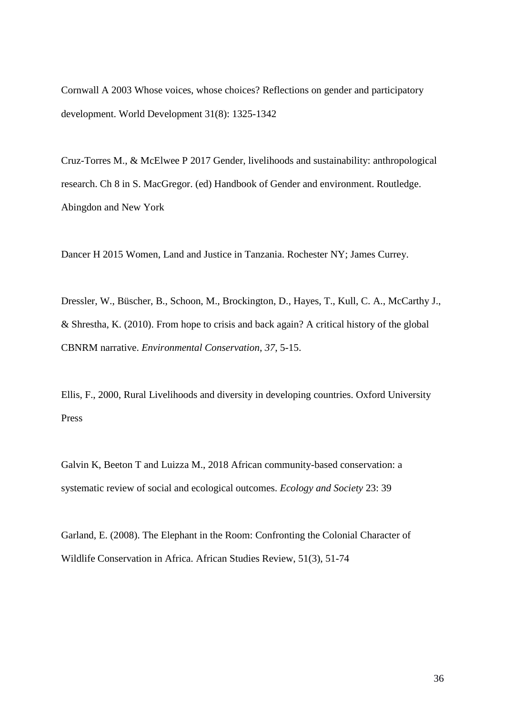Cornwall A 2003 Whose voices, whose choices? Reflections on gender and participatory development. World Development 31(8): 1325-1342

Cruz-Torres M., & McElwee P 2017 Gender, livelihoods and sustainability: anthropological research. Ch 8 in S. MacGregor. (ed) Handbook of Gender and environment. Routledge. Abingdon and New York

Dancer H 2015 Women, Land and Justice in Tanzania. Rochester NY; James Currey.

Dressler, W., Büscher, B., Schoon, M., Brockington, D., Hayes, T., Kull, C. A., McCarthy J., & Shrestha, K. (2010). From hope to crisis and back again? A critical history of the global CBNRM narrative. *Environmental Conservation*, *37*, 5-15.

Ellis, F., 2000, Rural Livelihoods and diversity in developing countries. Oxford University Press

Galvin K, Beeton T and Luizza M., 2018 African community-based conservation: a systematic review of social and ecological outcomes. *Ecology and Society* 23: 39

Garland, E. (2008). The Elephant in the Room: Confronting the Colonial Character of Wildlife Conservation in Africa. African Studies Review, 51(3), 51-74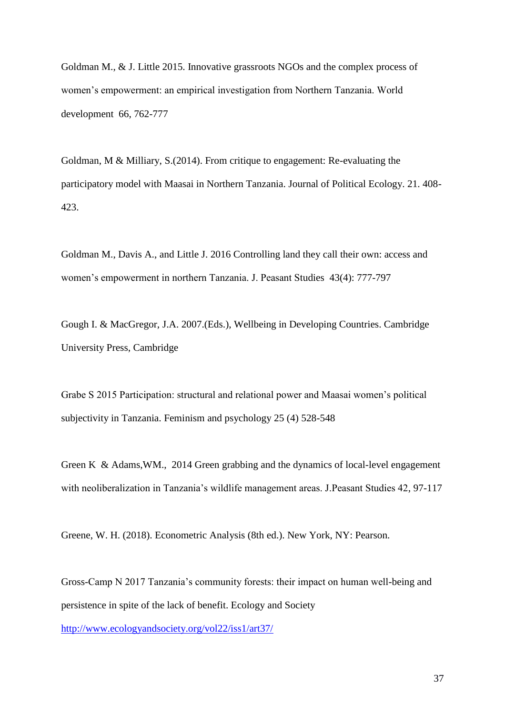Goldman M., & J. Little 2015. Innovative grassroots NGOs and the complex process of women's empowerment: an empirical investigation from Northern Tanzania. World development 66, 762-777

Goldman, M & Milliary, S.(2014). From critique to engagement: Re-evaluating the participatory model with Maasai in Northern Tanzania. Journal of Political Ecology. 21. 408- 423.

Goldman M., Davis A., and Little J. 2016 Controlling land they call their own: access and women's empowerment in northern Tanzania. J. Peasant Studies 43(4): 777-797

Gough I. & MacGregor, J.A. 2007.(Eds.), Wellbeing in Developing Countries. Cambridge University Press, Cambridge

Grabe S 2015 Participation: structural and relational power and Maasai women's political subjectivity in Tanzania. Feminism and psychology 25 (4) 528-548

Green K & Adams,WM., 2014 Green grabbing and the dynamics of local-level engagement with neoliberalization in Tanzania's wildlife management areas. J.Peasant Studies 42, 97-117

Greene, W. H. (2018). Econometric Analysis (8th ed.). New York, NY: Pearson.

Gross-Camp N 2017 Tanzania's community forests: their impact on human well-being and persistence in spite of the lack of benefit. Ecology and Society

<http://www.ecologyandsociety.org/vol22/iss1/art37/>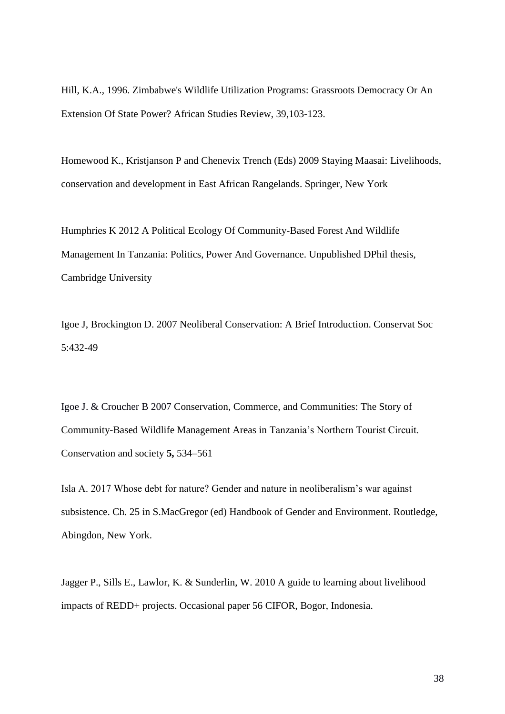Hill, K.A., 1996. Zimbabwe's Wildlife Utilization Programs: Grassroots Democracy Or An Extension Of State Power? African Studies Review, 39,103-123.

Homewood K., Kristjanson P and Chenevix Trench (Eds) 2009 Staying Maasai: Livelihoods, conservation and development in East African Rangelands. Springer, New York

Humphries K 2012 A Political Ecology Of Community-Based Forest And Wildlife Management In Tanzania: Politics, Power And Governance. Unpublished DPhil thesis, Cambridge University

Igoe J, Brockington D. 2007 Neoliberal Conservation: A Brief Introduction. Conservat Soc 5:432-49

Igoe J. & Croucher B 2007 Conservation, Commerce, and Communities: The Story of Community-Based Wildlife Management Areas in Tanzania's Northern Tourist Circuit. Conservation and society **5,** 534–561

Isla A. 2017 Whose debt for nature? Gender and nature in neoliberalism's war against subsistence. Ch. 25 in S.MacGregor (ed) Handbook of Gender and Environment. Routledge, Abingdon, New York.

Jagger P., Sills E., Lawlor, K. & Sunderlin, W. 2010 A guide to learning about livelihood impacts of REDD+ projects. Occasional paper 56 CIFOR, Bogor, Indonesia.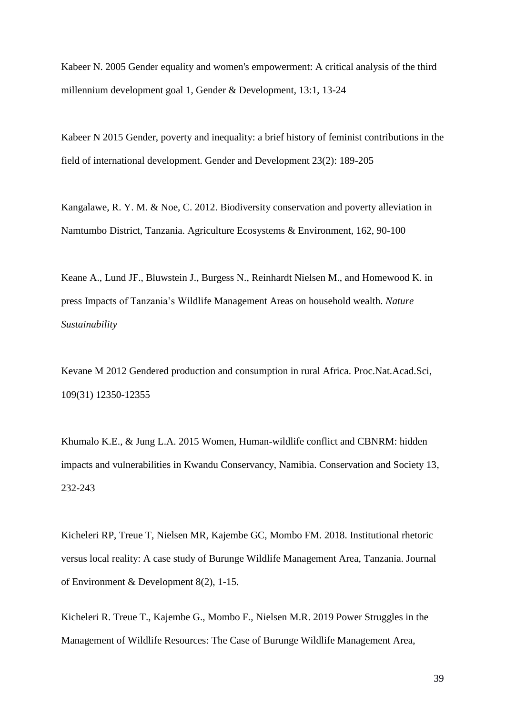Kabeer N. 2005 Gender equality and women's empowerment: A critical analysis of the third millennium development goal 1, Gender & Development, 13:1, 13-24

Kabeer N 2015 Gender, poverty and inequality: a brief history of feminist contributions in the field of international development. Gender and Development 23(2): 189-205

Kangalawe, R. Y. M. & Noe, C. 2012. Biodiversity conservation and poverty alleviation in Namtumbo District, Tanzania. Agriculture Ecosystems & Environment, 162, 90-100

Keane A., Lund JF., Bluwstein J., Burgess N., Reinhardt Nielsen M., and Homewood K. in press Impacts of Tanzania's Wildlife Management Areas on household wealth. *Nature Sustainability*

Kevane M 2012 Gendered production and consumption in rural Africa. Proc.Nat.Acad.Sci, 109(31) 12350-12355

Khumalo K.E., & Jung L.A. 2015 Women, Human-wildlife conflict and CBNRM: hidden impacts and vulnerabilities in Kwandu Conservancy, Namibia. Conservation and Society 13, 232-243

Kicheleri RP, Treue T, Nielsen MR, Kajembe GC, Mombo FM. 2018. Institutional rhetoric versus local reality: A case study of Burunge Wildlife Management Area, Tanzania. Journal of Environment & Development 8(2), 1-15.

Kicheleri R. Treue T., Kajembe G., Mombo F., Nielsen M.R. 2019 Power Struggles in the Management of Wildlife Resources: The Case of Burunge Wildlife Management Area,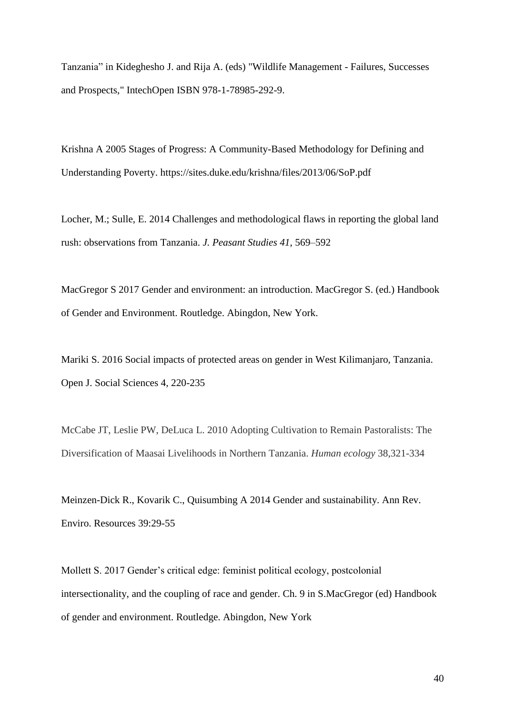Tanzania" in Kideghesho J. and Rija A. (eds) "Wildlife Management - Failures, Successes and Prospects," IntechOpen ISBN 978-1-78985-292-9.

Krishna A 2005 Stages of Progress: A Community-Based Methodology for Defining and Understanding Poverty. https://sites.duke.edu/krishna/files/2013/06/SoP.pdf

Locher, M.; Sulle, E. 2014 Challenges and methodological flaws in reporting the global land rush: observations from Tanzania. *J. Peasant Studies 41*, 569–592

MacGregor S 2017 Gender and environment: an introduction. MacGregor S. (ed.) Handbook of Gender and Environment. Routledge. Abingdon, New York.

Mariki S. 2016 Social impacts of protected areas on gender in West Kilimanjaro, Tanzania. Open J. Social Sciences 4, 220-235

McCabe JT, Leslie PW, DeLuca L. 2010 Adopting Cultivation to Remain Pastoralists: The Diversification of Maasai Livelihoods in Northern Tanzania. *Human ecology* 38,321-334

Meinzen-Dick R., Kovarik C., Quisumbing A 2014 Gender and sustainability. Ann Rev. Enviro. Resources 39:29-55

Mollett S. 2017 Gender's critical edge: feminist political ecology, postcolonial intersectionality, and the coupling of race and gender. Ch. 9 in S.MacGregor (ed) Handbook of gender and environment. Routledge. Abingdon, New York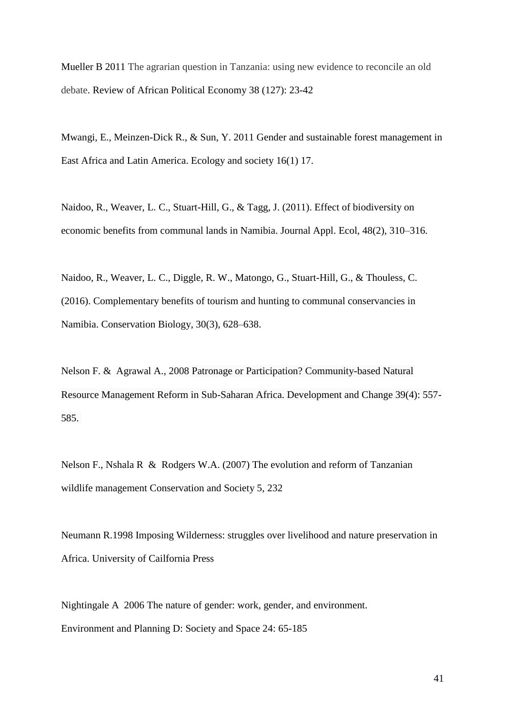Mueller B 2011 The agrarian question in Tanzania: using new evidence to reconcile an old debate. Review of African Political Economy 38 (127): 23-42

Mwangi, E., Meinzen-Dick R., & Sun, Y. 2011 Gender and sustainable forest management in East Africa and Latin America. Ecology and society 16(1) 17.

Naidoo, R., Weaver, L. C., Stuart-Hill, G., & Tagg, J. (2011). Effect of biodiversity on economic benefits from communal lands in Namibia. Journal Appl. Ecol, 48(2), 310–316.

Naidoo, R., Weaver, L. C., Diggle, R. W., Matongo, G., Stuart-Hill, G., & Thouless, C. (2016). Complementary benefits of tourism and hunting to communal conservancies in Namibia. Conservation Biology, 30(3), 628–638.

Nelson F. & Agrawal A., 2008 Patronage or Participation? Community-based Natural Resource Management Reform in Sub-Saharan Africa. Development and Change 39(4): 557- 585.

Nelson F., Nshala R & Rodgers W.A. (2007) The evolution and reform of Tanzanian wildlife management Conservation and Society 5, 232

Neumann R.1998 Imposing Wilderness: struggles over livelihood and nature preservation in Africa. University of Cailfornia Press

Nightingale A 2006 The nature of gender: work, gender, and environment. Environment and Planning D: Society and Space 24: 65-185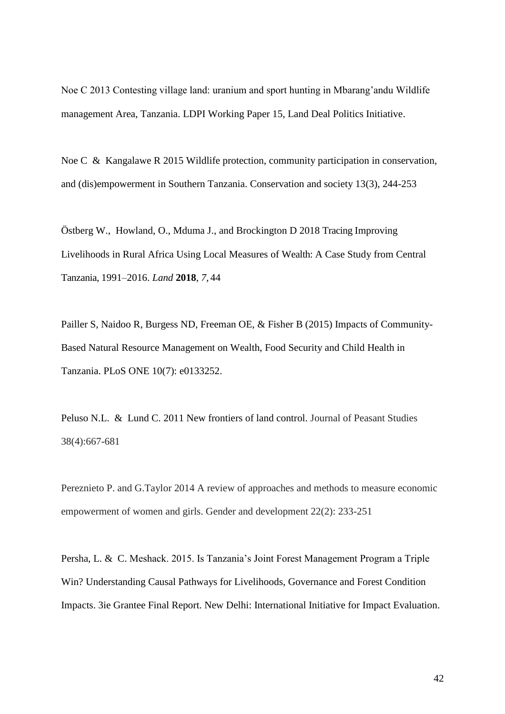Noe C 2013 Contesting village land: uranium and sport hunting in Mbarang'andu Wildlife management Area, Tanzania. LDPI Working Paper 15, Land Deal Politics Initiative.

Noe C & Kangalawe R 2015 Wildlife protection, community participation in conservation, and (dis)empowerment in Southern Tanzania. Conservation and society 13(3), 244-253

Östberg W., Howland, O., Mduma J., and Brockington D 2018 Tracing Improving Livelihoods in Rural Africa Using Local Measures of Wealth: A Case Study from Central Tanzania, 1991–2016. *Land* **2018**, *7*, 44

Pailler S, Naidoo R, Burgess ND, Freeman OE, & Fisher B (2015) Impacts of Community-Based Natural Resource Management on Wealth, Food Security and Child Health in Tanzania. PLoS ONE 10(7): e0133252.

Peluso N.L. & Lund C. 2011 New frontiers of land control. Journal of Peasant Studies 38(4):667-681

Pereznieto P. and G.Taylor 2014 A review of approaches and methods to measure economic empowerment of women and girls. Gender and development 22(2): 233-251

Persha, L. & C. Meshack. 2015. Is Tanzania's Joint Forest Management Program a Triple Win? Understanding Causal Pathways for Livelihoods, Governance and Forest Condition Impacts. 3ie Grantee Final Report. New Delhi: International Initiative for Impact Evaluation.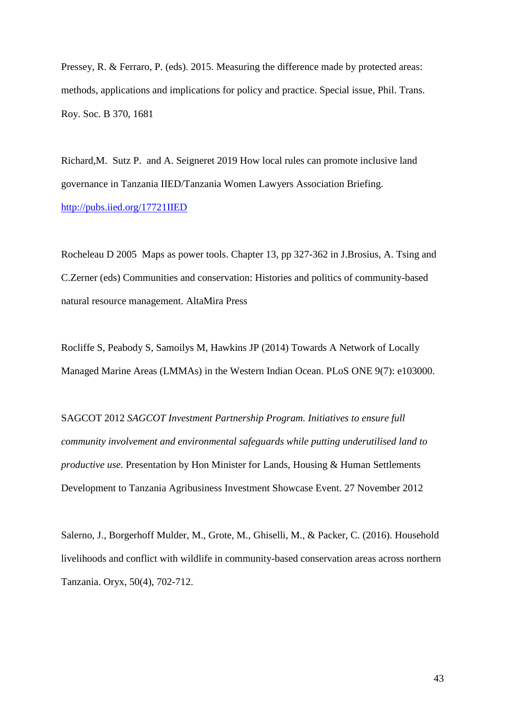Pressey, R. & Ferraro, P. (eds). 2015. Measuring the difference made by protected areas: methods, applications and implications for policy and practice. Special issue, Phil. Trans. Roy. Soc. B 370, 1681

Richard,M. Sutz P. and A. Seigneret 2019 How local rules can promote inclusive land governance in Tanzania IIED/Tanzania Women Lawyers Association Briefing. <http://pubs.iied.org/17721IIED>

Rocheleau D 2005 Maps as power tools. Chapter 13, pp 327-362 in J.Brosius, A. Tsing and C.Zerner (eds) Communities and conservation: Histories and politics of community-based natural resource management. AltaMira Press

Rocliffe S, Peabody S, Samoilys M, Hawkins JP (2014) Towards A Network of Locally Managed Marine Areas (LMMAs) in the Western Indian Ocean. PLoS ONE 9(7): e103000.

SAGCOT 2012 *SAGCOT Investment Partnership Program. Initiatives to ensure full community involvement and environmental safeguards while putting underutilised land to productive use.* Presentation by Hon Minister for Lands, Housing & Human Settlements Development to Tanzania Agribusiness Investment Showcase Event. 27 November 2012

Salerno, J., Borgerhoff Mulder, M., Grote, M., Ghiselli, M., & Packer, C. (2016). Household livelihoods and conflict with wildlife in community-based conservation areas across northern Tanzania. Oryx, 50(4), 702-712.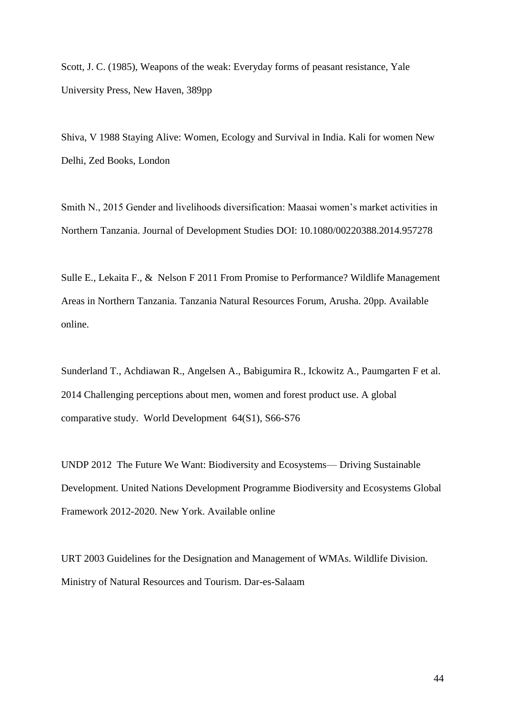Scott, J. C. (1985), Weapons of the weak: Everyday forms of peasant resistance, Yale University Press, New Haven, 389pp

Shiva, V 1988 Staying Alive: Women, Ecology and Survival in India. Kali for women New Delhi, Zed Books, London

Smith N., 2015 Gender and livelihoods diversification: Maasai women's market activities in Northern Tanzania. Journal of Development Studies DOI: 10.1080/00220388.2014.957278

Sulle E., Lekaita F., & Nelson F 2011 From Promise to Performance? Wildlife Management Areas in Northern Tanzania. Tanzania Natural Resources Forum, Arusha. 20pp. Available online.

Sunderland T., Achdiawan R., Angelsen A., Babigumira R., Ickowitz A., Paumgarten F et al. 2014 Challenging perceptions about men, women and forest product use. A global comparative study. World Development 64(S1), S66-S76

UNDP 2012 The Future We Want: Biodiversity and Ecosystems— Driving Sustainable Development. United Nations Development Programme Biodiversity and Ecosystems Global Framework 2012-2020. New York. Available online

URT 2003 Guidelines for the Designation and Management of WMAs. Wildlife Division. Ministry of Natural Resources and Tourism. Dar-es-Salaam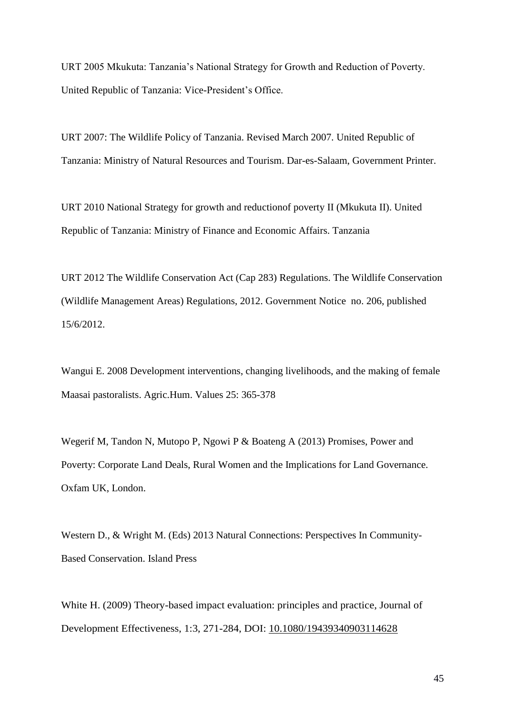URT 2005 Mkukuta: Tanzania's National Strategy for Growth and Reduction of Poverty. United Republic of Tanzania: Vice-President's Office.

URT 2007: The Wildlife Policy of Tanzania. Revised March 2007. United Republic of Tanzania: Ministry of Natural Resources and Tourism. Dar-es-Salaam, Government Printer.

URT 2010 National Strategy for growth and reductionof poverty II (Mkukuta II). United Republic of Tanzania: Ministry of Finance and Economic Affairs. Tanzania

URT 2012 The Wildlife Conservation Act (Cap 283) Regulations. The Wildlife Conservation (Wildlife Management Areas) Regulations, 2012. Government Notice no. 206, published 15/6/2012.

Wangui E. 2008 Development interventions, changing livelihoods, and the making of female Maasai pastoralists. Agric.Hum. Values 25: 365-378

Wegerif M, Tandon N, Mutopo P, Ngowi P & Boateng A (2013) Promises, Power and Poverty: Corporate Land Deals, Rural Women and the Implications for Land Governance. Oxfam UK, London.

Western D., & Wright M. (Eds) 2013 Natural Connections: Perspectives In Community-Based Conservation. Island Press

White H. (2009) Theory-based impact evaluation: principles and practice, Journal of Development Effectiveness, 1:3, 271-284, DOI: 10.1080/19439340903114628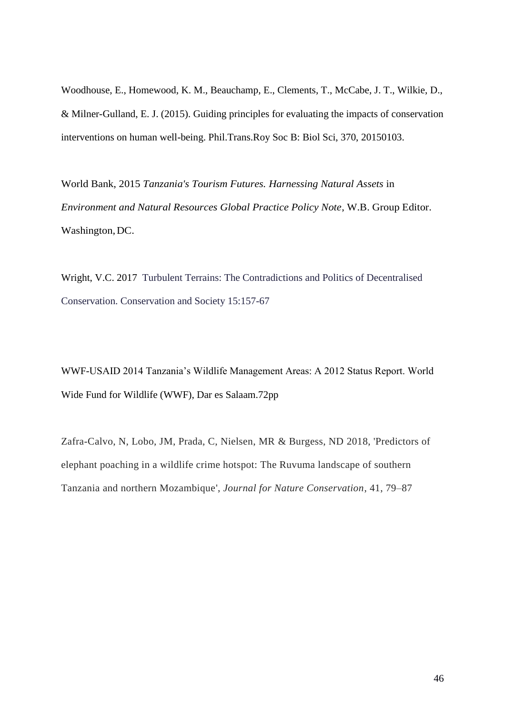Woodhouse, E., Homewood, K. M., Beauchamp, E., Clements, T., McCabe, J. T., Wilkie, D., & Milner-Gulland, E. J. (2015). [Guiding principles for evaluating the impacts of conservation](http://iris.ucl.ac.uk/iris/publication/1066743/7)  [interventions on human well-being.](http://iris.ucl.ac.uk/iris/publication/1066743/7) Phil.Trans.Roy Soc B: Biol Sci, 370, 20150103.

World Bank, 2015 *Tanzania's Tourism Futures. Harnessing Natural Assets* in *Environment and Natural Resources Global Practice Policy Note*, W.B. Group Editor. Washington,DC.

Wright, V.C. 2017 Turbulent Terrains: The Contradictions and Politics of Decentralised Conservation. Conservation and Society 15:157-67

WWF-USAID 2014 Tanzania's Wildlife Management Areas: A 2012 Status Report. World Wide Fund for Wildlife (WWF), Dar es Salaam.72pp

Zafra-Calvo, N, Lobo, JM, Prada, C, Nielsen, MR & Burgess, ND 2018, 'Predictors of elephant poaching in a wildlife crime hotspot: The Ruvuma landscape of southern Tanzania and northern Mozambique', *Journal for Nature Conservation*, 41, 79–87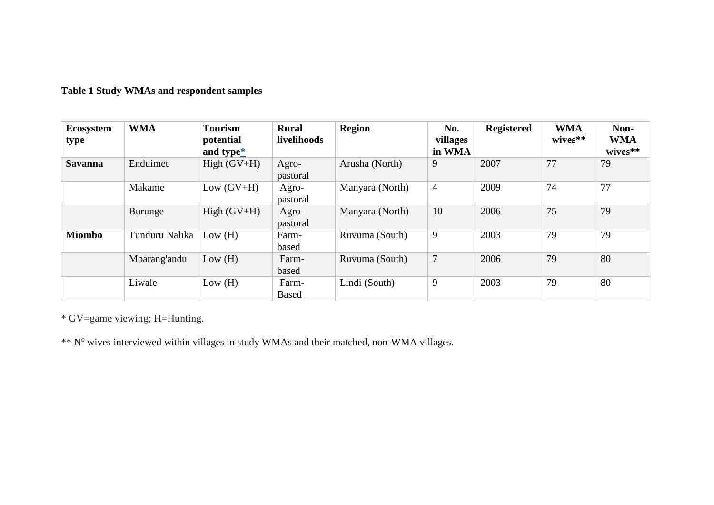## **Table 1 Study WMAs and respondent samples**

| Ecosystem<br>type | <b>WMA</b>     | <b>Tourism</b><br>potential<br>and type $*$ | <b>Rural</b><br>livelihoods | <b>Region</b>   | No.<br>villages<br>in WMA | <b>Registered</b> | <b>WMA</b><br>wives** | Non-<br><b>WMA</b><br>wives** |
|-------------------|----------------|---------------------------------------------|-----------------------------|-----------------|---------------------------|-------------------|-----------------------|-------------------------------|
| <b>Savanna</b>    | Enduimet       | $High (GV+H)$                               | Agro-<br>pastoral           | Arusha (North)  | 9                         | 2007              | 77                    | 79                            |
|                   | Makame         | Low $(GV+H)$                                | Agro-<br>pastoral           | Manyara (North) | $\overline{4}$            | 2009              | 74                    | 77                            |
|                   | Burunge        | $High (GV+H)$                               | Agro-<br>pastoral           | Manyara (North) | 10                        | 2006              | 75                    | 79                            |
| <b>Miombo</b>     | Tunduru Nalika | Low(H)                                      | Farm-<br>based              | Ruvuma (South)  | 9                         | 2003              | 79                    | 79                            |
|                   | Mbarang'andu   | Low(H)                                      | Farm-<br>based              | Ruvuma (South)  | $\overline{7}$            | 2006              | 79                    | 80                            |
|                   | Liwale         | Low(H)                                      | Farm-<br><b>Based</b>       | Lindi (South)   | 9                         | 2003              | 79                    | 80                            |

\* GV=game viewing; H=Hunting.

\*\* N° wives interviewed within villages in study WMAs and their matched, non-WMA villages.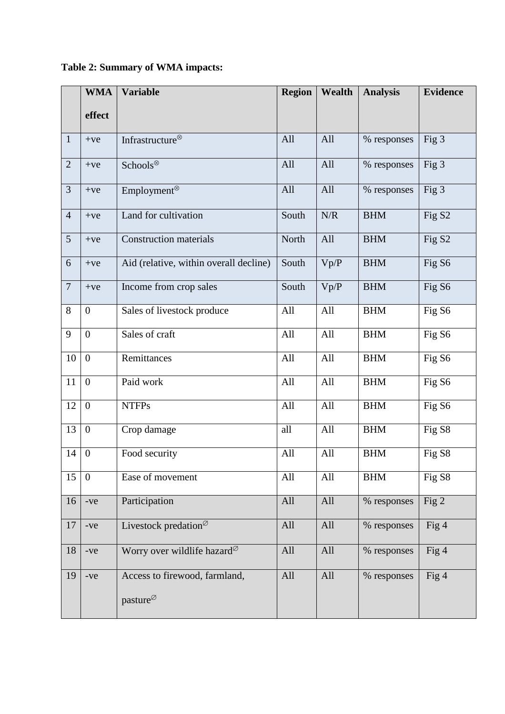|                | <b>WMA</b>       | <b>Variable</b>                                                              | <b>Region</b> | Wealth | <b>Analysis</b> | <b>Evidence</b>    |  |
|----------------|------------------|------------------------------------------------------------------------------|---------------|--------|-----------------|--------------------|--|
|                | effect           |                                                                              |               |        |                 |                    |  |
| $\mathbf{1}$   | $+ve$            | Infrastructure®                                                              | All           | All    | % responses     | Fig 3              |  |
| $\overline{2}$ | $+ve$            | Schools <sup>®</sup><br>All                                                  |               | All    | % responses     | Fig 3              |  |
| $\overline{3}$ | $+ve$            | Employment <sup>⊗</sup>                                                      | All           | All    | % responses     | Fig 3              |  |
| $\overline{4}$ | $+ve$            | Land for cultivation                                                         | South         | N/R    | <b>BHM</b>      | Fig S <sub>2</sub> |  |
| 5 <sup>5</sup> | $+ve$            | <b>Construction materials</b>                                                | North         | All    | <b>BHM</b>      | Fig S <sub>2</sub> |  |
| 6              | $+ve$            | Aid (relative, within overall decline)                                       | South         | Vp/P   | <b>BHM</b>      | Fig S6             |  |
| $\overline{7}$ | $+ve$            | Income from crop sales                                                       | South         | Vp/P   | <b>BHM</b>      | Fig S6             |  |
| 8              | $\boldsymbol{0}$ | Sales of livestock produce                                                   | All           | All    | <b>BHM</b>      | Fig S6             |  |
| 9              | $\boldsymbol{0}$ | Sales of craft                                                               | All           | All    | <b>BHM</b>      | Fig S6             |  |
| 10             | $\boldsymbol{0}$ | Remittances                                                                  | All           | All    | <b>BHM</b>      | Fig S6             |  |
| 11             | $\mathbf{0}$     | Paid work                                                                    | All           | All    | <b>BHM</b>      | Fig S6             |  |
| 12             | $\boldsymbol{0}$ | <b>NTFPs</b>                                                                 | All           | All    | <b>BHM</b>      | Fig S6             |  |
| 13             | $\boldsymbol{0}$ | Crop damage                                                                  | all           | All    | <b>BHM</b>      | Fig S8             |  |
| 14             | $\boldsymbol{0}$ | Food security                                                                | All           | All    | <b>BHM</b>      | Fig S8             |  |
| 15             | $\overline{0}$   | Ease of movement                                                             | All           | All    | <b>BHM</b>      | Fig S8             |  |
| 16             | -ve              | Participation                                                                | All           | All    | % responses     | Fig 2              |  |
| 17             | -ve              | Livestock predation $\mathcal{O}$                                            | All           | All    | % responses     | Fig 4              |  |
| 18             | -ve              | Worry over wildlife hazard <sup>Ø</sup>                                      | All           | All    | % responses     | Fig 4              |  |
| 19             | -ve              | Access to firewood, farmland,<br>pasture <sup><math>\varnothing</math></sup> | All           | All    | % responses     | Fig 4              |  |

# **Table 2: Summary of WMA impacts:**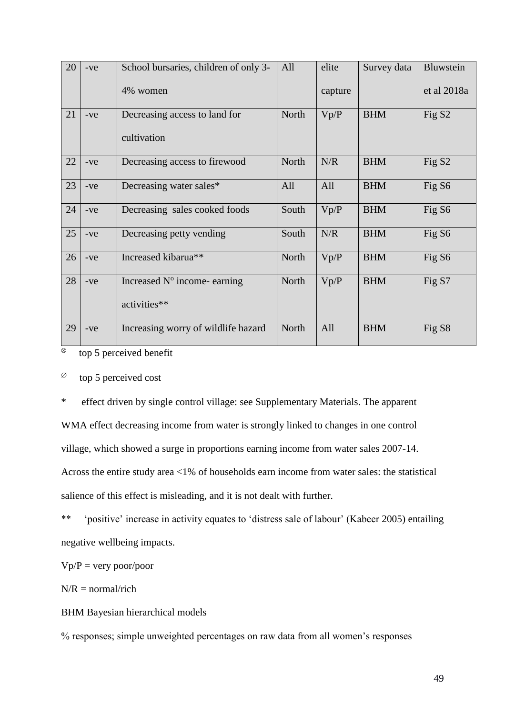| 20 | $-ve$ | School bursaries, children of only 3- | All   | elite   | Survey data | Bluwstein          |
|----|-------|---------------------------------------|-------|---------|-------------|--------------------|
|    |       | 4% women                              |       | capture |             | et al 2018a        |
| 21 | $-ve$ | Decreasing access to land for         | North | Vp/P    | <b>BHM</b>  | Fig S <sub>2</sub> |
|    |       | cultivation                           |       |         |             |                    |
| 22 | $-ve$ | Decreasing access to firewood         | North | N/R     | <b>BHM</b>  | Fig S <sub>2</sub> |
| 23 | $-ve$ | Decreasing water sales*               | All   | All     | <b>BHM</b>  | Fig S <sub>6</sub> |
| 24 | $-ve$ | Decreasing sales cooked foods         | South | Vp/P    | <b>BHM</b>  | Fig S <sub>6</sub> |
| 25 | $-ve$ | Decreasing petty vending              | South | N/R     | <b>BHM</b>  | Fig S6             |
| 26 | $-ve$ | Increased kibarua**                   | North | Vp/P    | <b>BHM</b>  | Fig S6             |
| 28 | $-ve$ | Increased N° income-earning           | North | Vp/P    | <b>BHM</b>  | Fig S7             |
|    |       | activities**                          |       |         |             |                    |
| 29 | $-ve$ | Increasing worry of wildlife hazard   | North | All     | <b>BHM</b>  | Fig S <sub>8</sub> |

 $\infty$  top 5 perceived benefit

 $\infty$  top 5 perceived cost

\* effect driven by single control village: see Supplementary Materials. The apparent WMA effect decreasing income from water is strongly linked to changes in one control village, which showed a surge in proportions earning income from water sales 2007-14. Across the entire study area <1% of households earn income from water sales: the statistical salience of this effect is misleading, and it is not dealt with further.

\*\* 'positive' increase in activity equates to 'distress sale of labour' (Kabeer 2005) entailing negative wellbeing impacts.

 $Vp/P = very poor/poor$ 

 $N/R =$  normal/rich

BHM Bayesian hierarchical models

% responses; simple unweighted percentages on raw data from all women's responses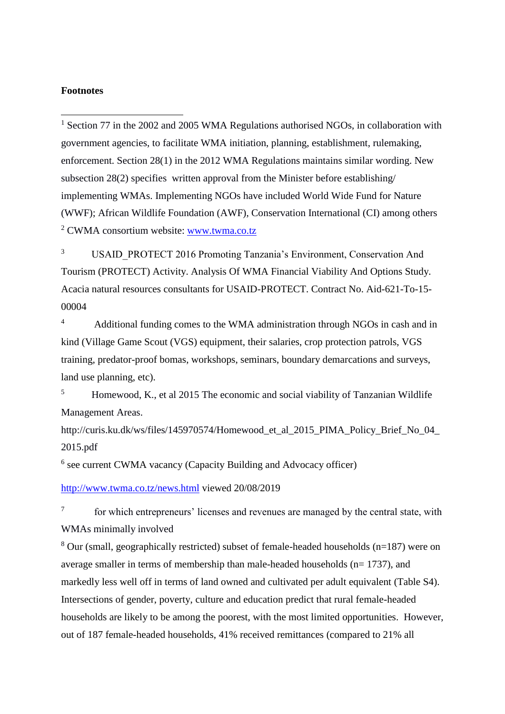#### **Footnotes**

1

 $1$  Section 77 in the 2002 and 2005 WMA Regulations authorised NGOs, in collaboration with government agencies, to facilitate WMA initiation, planning, establishment, rulemaking, enforcement. Section 28(1) in the 2012 WMA Regulations maintains similar wording. New subsection 28(2) specifies written approval from the Minister before establishing/ implementing WMAs. Implementing NGOs have included World Wide Fund for Nature (WWF); African Wildlife Foundation (AWF), Conservation International (CI) among others <sup>2</sup> CWMA consortium website: [www.twma.co.tz](http://www.twma.co.tz/)

<sup>3</sup> USAID\_PROTECT 2016 Promoting Tanzania's Environment, Conservation And Tourism (PROTECT) Activity. Analysis Of WMA Financial Viability And Options Study. Acacia natural resources consultants for USAID-PROTECT. Contract No. Aid-621-To-15- 00004

<sup>4</sup> Additional funding comes to the WMA administration through NGOs in cash and in kind (Village Game Scout (VGS) equipment, their salaries, crop protection patrols, VGS training, predator-proof bomas, workshops, seminars, boundary demarcations and surveys, land use planning, etc).

<sup>5</sup> Homewood, K., et al 2015 The economic and social viability of Tanzanian Wildlife Management Areas.

http://curis.ku.dk/ws/files/145970574/Homewood et al 2015 PIMA Policy Brief No 04 [2015.pdf](http://curis.ku.dk/ws/files/145970574/Homewood_et_al_2015_PIMA_Policy_Brief_No_04_2015.pdf)

6 see current CWMA vacancy (Capacity Building and Advocacy officer)

<http://www.twma.co.tz/news.html> viewed 20/08/2019

7 for which entrepreneurs' licenses and revenues are managed by the central state, with WMAs minimally involved

 $8$  Our (small, geographically restricted) subset of female-headed households (n=187) were on average smaller in terms of membership than male-headed households (n= 1737), and markedly less well off in terms of land owned and cultivated per adult equivalent (Table S4). Intersections of gender, poverty, culture and education predict that rural female-headed households are likely to be among the poorest, with the most limited opportunities. However, out of 187 female-headed households, 41% received remittances (compared to 21% all